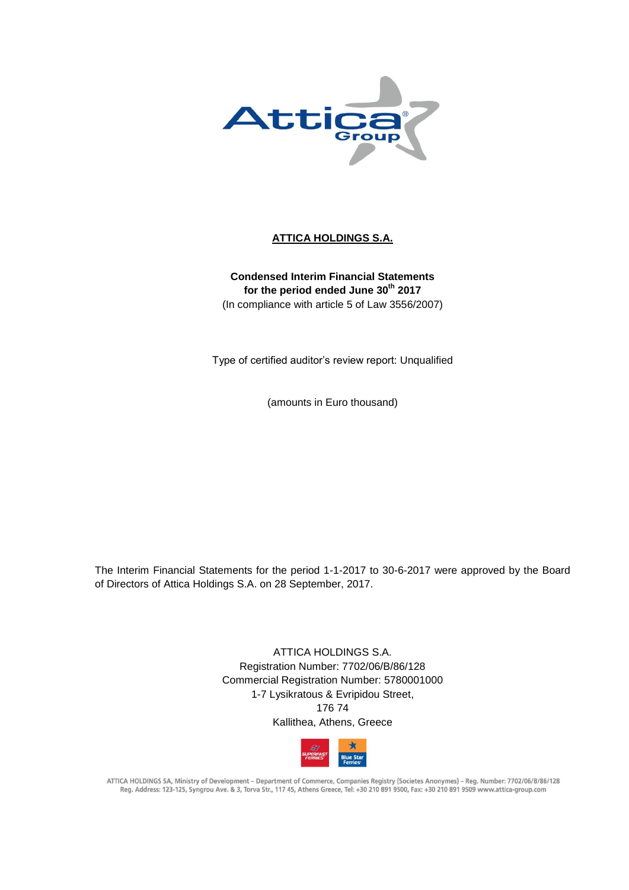

# **ATTICA HOLDINGS S.A.**

**Condensed Interim Financial Statements for the period ended June 30th 2017** (In compliance with article 5 of Law 3556/2007)

Type of certified auditor's review report: Unqualified

(amounts in Euro thousand)

The Interim Financial Statements for the period 1-1-2017 to 30-6-2017 were approved by the Board of Directors of Attica Holdings S.A. on 28 September, 2017.

> ATTICA HOLDINGS S.A. Registration Number: 7702/06/B/86/128 Commercial Registration Number: 5780001000 1-7 Lysikratous & Evripidou Street, 176 74 Kallithea, Athens, Greece



ATTICA HOLDINGS SA, Ministry of Development - Department of Commerce, Companies Registry (Societes Anonymes) - Reg. Number: 7702/06/B/86/128 Reg. Address: 123-125, Syngrou Ave. & 3, Torva Str., 117 45, Athens Greece, Tel: +30 210 891 9500, Fax: +30 210 891 9509 www.attica-group.com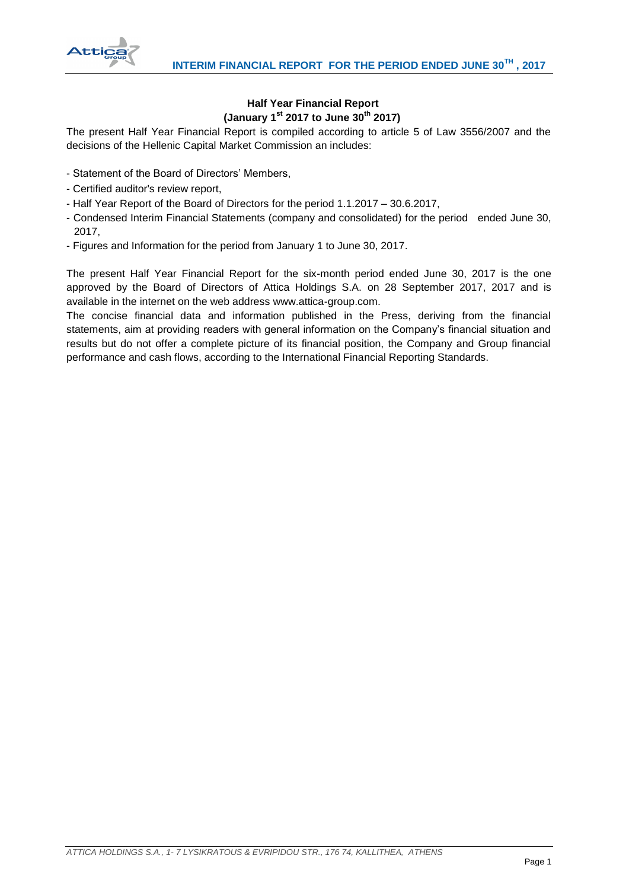

# **Half Year Financial Report (January 1st 2017 to June 30th 2017)**

The present Half Year Financial Report is compiled according to article 5 of Law 3556/2007 and the decisions of the Hellenic Capital Market Commission an includes:

- Statement of the Board of Directors' Members,
- Certified auditor's review report,
- Half Year Report of the Board of Directors for the period 1.1.2017 30.6.2017,
- Condensed Interim Financial Statements (company and consolidated) for the period ended June 30, 2017,
- Figures and Information for the period from January 1 to June 30, 2017.

The present Half Year Financial Report for the six-month period ended June 30, 2017 is the one approved by the Board of Directors of Attica Holdings S.A. on 28 September 2017, 2017 and is available in the internet on the web address www.attica-group.com.

The concise financial data and information published in the Press, deriving from the financial statements, aim at providing readers with general information on the Company's financial situation and results but do not offer a complete picture of its financial position, the Company and Group financial performance and cash flows, according to the International Financial Reporting Standards.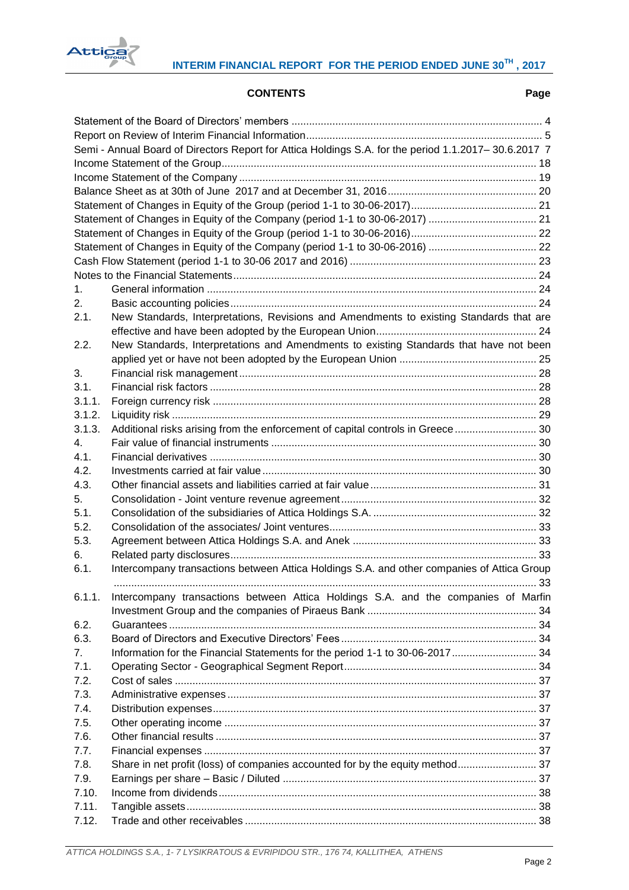

# **CONTENTS Page**

|        | Semi - Annual Board of Directors Report for Attica Holdings S.A. for the period 1.1.2017-30.6.2017 7 |     |  |  |  |  |  |
|--------|------------------------------------------------------------------------------------------------------|-----|--|--|--|--|--|
|        |                                                                                                      |     |  |  |  |  |  |
|        |                                                                                                      |     |  |  |  |  |  |
|        |                                                                                                      |     |  |  |  |  |  |
|        | Statement of Changes in Equity of the Company (period 1-1 to 30-06-2017)  21                         |     |  |  |  |  |  |
|        |                                                                                                      |     |  |  |  |  |  |
|        |                                                                                                      |     |  |  |  |  |  |
|        |                                                                                                      |     |  |  |  |  |  |
|        |                                                                                                      |     |  |  |  |  |  |
| 1.     |                                                                                                      |     |  |  |  |  |  |
|        |                                                                                                      |     |  |  |  |  |  |
| 2.     |                                                                                                      |     |  |  |  |  |  |
| 2.1.   | New Standards, Interpretations, Revisions and Amendments to existing Standards that are              |     |  |  |  |  |  |
|        |                                                                                                      |     |  |  |  |  |  |
| 2.2.   | New Standards, Interpretations and Amendments to existing Standards that have not been               |     |  |  |  |  |  |
|        |                                                                                                      |     |  |  |  |  |  |
| 3.     |                                                                                                      |     |  |  |  |  |  |
| 3.1.   |                                                                                                      |     |  |  |  |  |  |
| 3.1.1. |                                                                                                      |     |  |  |  |  |  |
| 3.1.2. |                                                                                                      |     |  |  |  |  |  |
| 3.1.3. | Additional risks arising from the enforcement of capital controls in Greece  30                      |     |  |  |  |  |  |
| 4.     |                                                                                                      |     |  |  |  |  |  |
| 4.1.   |                                                                                                      |     |  |  |  |  |  |
| 4.2.   |                                                                                                      |     |  |  |  |  |  |
| 4.3.   |                                                                                                      |     |  |  |  |  |  |
| 5.     |                                                                                                      |     |  |  |  |  |  |
| 5.1.   |                                                                                                      |     |  |  |  |  |  |
| 5.2.   |                                                                                                      |     |  |  |  |  |  |
| 5.3.   |                                                                                                      |     |  |  |  |  |  |
| 6.     |                                                                                                      |     |  |  |  |  |  |
| 6.1.   | Intercompany transactions between Attica Holdings S.A. and other companies of Attica Group           |     |  |  |  |  |  |
| 6.1.1. |                                                                                                      | 33. |  |  |  |  |  |
|        | Intercompany transactions between Attica Holdings S.A. and the companies of Marfin                   |     |  |  |  |  |  |
|        |                                                                                                      |     |  |  |  |  |  |
| 6.2.   |                                                                                                      |     |  |  |  |  |  |
| 6.3.   |                                                                                                      |     |  |  |  |  |  |
| 7.     |                                                                                                      |     |  |  |  |  |  |
| 7.1.   |                                                                                                      |     |  |  |  |  |  |
| 7.2.   |                                                                                                      |     |  |  |  |  |  |
| 7.3.   |                                                                                                      |     |  |  |  |  |  |
| 7.4.   |                                                                                                      |     |  |  |  |  |  |
| 7.5.   |                                                                                                      |     |  |  |  |  |  |
| 7.6.   |                                                                                                      |     |  |  |  |  |  |
| 7.7.   |                                                                                                      |     |  |  |  |  |  |
| 7.8.   | Share in net profit (loss) of companies accounted for by the equity method 37                        |     |  |  |  |  |  |
| 7.9.   |                                                                                                      |     |  |  |  |  |  |
| 7.10.  |                                                                                                      |     |  |  |  |  |  |
| 7.11.  |                                                                                                      |     |  |  |  |  |  |
| 7.12.  |                                                                                                      |     |  |  |  |  |  |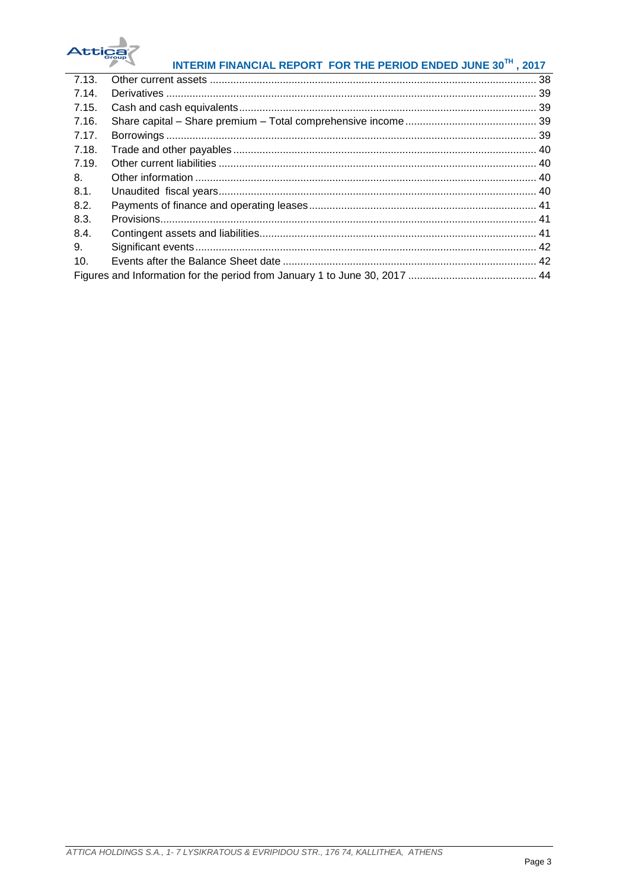

# INTERIM FINANCIAL REPORT FOR THE PERIOD ENDED JUNE 30TH, 2017

| 7.13. |  |
|-------|--|
| 7.14. |  |
| 7.15. |  |
| 7.16. |  |
| 7.17. |  |
| 7.18. |  |
| 7.19. |  |
| 8.    |  |
| 8.1.  |  |
| 8.2.  |  |
| 8.3.  |  |
| 8.4.  |  |
| 9.    |  |
| 10.   |  |
|       |  |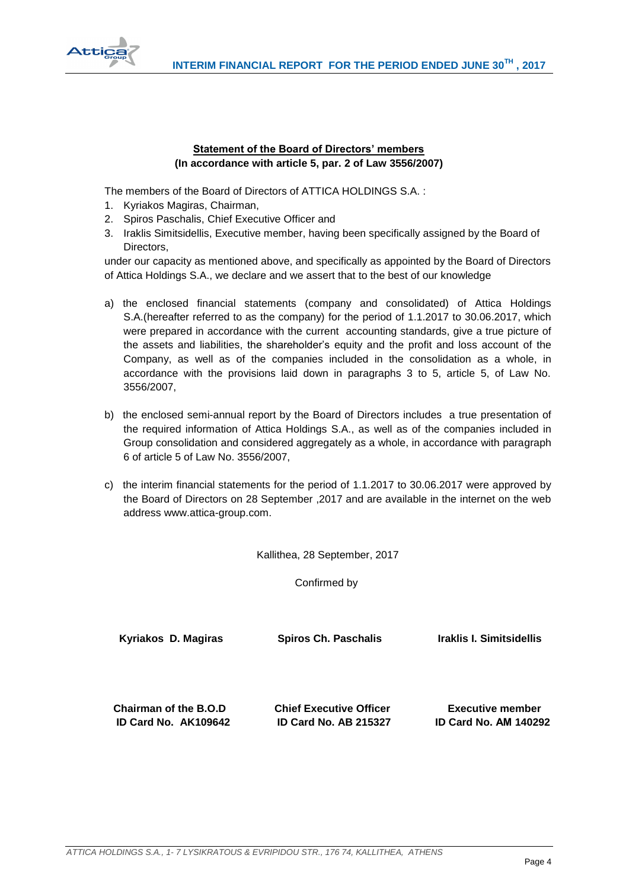

# **Statement of the Board of Directors' members (In accordance with article 5, par. 2 of Law 3556/2007)**

<span id="page-4-0"></span>The members of the Board of Directors of ATTICA HOLDINGS S.A. :

- 1. Kyriakos Magiras, Chairman,
- 2. Spiros Paschalis, Chief Executive Officer and
- 3. Iraklis Simitsidellis, Executive member, having been specifically assigned by the Board of Directors,

under our capacity as mentioned above, and specifically as appointed by the Board of Directors of Attica Holdings S.A., we declare and we assert that to the best of our knowledge

- a) the enclosed financial statements (company and consolidated) of Attica Holdings S.A.(hereafter referred to as the company) for the period of 1.1.2017 to 30.06.2017, which were prepared in accordance with the current accounting standards, give a true picture of the assets and liabilities, the shareholder's equity and the profit and loss account of the Company, as well as of the companies included in the consolidation as a whole, in accordance with the provisions laid down in paragraphs 3 to 5, article 5, of Law No. 3556/2007,
- b) the enclosed semi-annual report by the Board of Directors includes a true presentation of the required information of Attica Holdings S.A., as well as of the companies included in Group consolidation and considered aggregately as a whole, in accordance with paragraph 6 of article 5 of Law No. 3556/2007,
- c) the interim financial statements for the period of 1.1.2017 to 30.06.2017 were approved by the Board of Directors on 28 September ,2017 and are available in the internet on the web address www.attica-group.com.

Kallithea, 28 September, 2017

Confirmed by

| Kyriakos D. Magiras   | <b>Spiros Ch. Paschalis</b>    | Iraklis I. Simitsidellis     |
|-----------------------|--------------------------------|------------------------------|
| Chairman of the B.O.D | <b>Chief Executive Officer</b> | <b>Executive member</b>      |
| ID Card No. AK109642  | <b>ID Card No. AB 215327</b>   | <b>ID Card No. AM 140292</b> |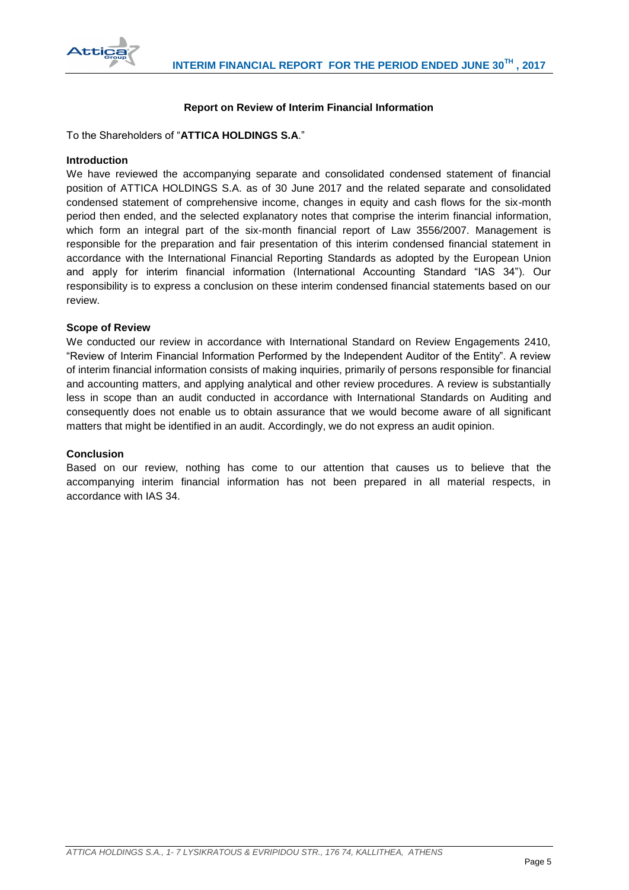

# **Report on Review of Interim Financial Information**

<span id="page-5-0"></span>To the Shareholders of "**ATTICA HOLDINGS S.A**."

#### **Introduction**

We have reviewed the accompanying separate and consolidated condensed statement of financial position of ATTICA HOLDINGS S.A. as of 30 June 2017 and the related separate and consolidated condensed statement of comprehensive income, changes in equity and cash flows for the six-month period then ended, and the selected explanatory notes that comprise the interim financial information, which form an integral part of the six-month financial report of Law 3556/2007. Management is responsible for the preparation and fair presentation of this interim condensed financial statement in accordance with the International Financial Reporting Standards as adopted by the European Union and apply for interim financial information (International Accounting Standard "IAS 34"). Our responsibility is to express a conclusion on these interim condensed financial statements based on our review.

### **Scope of Review**

We conducted our review in accordance with International Standard on Review Engagements 2410, "Review of Interim Financial Information Performed by the Independent Auditor of the Entity". A review of interim financial information consists of making inquiries, primarily of persons responsible for financial and accounting matters, and applying analytical and other review procedures. A review is substantially less in scope than an audit conducted in accordance with International Standards on Auditing and consequently does not enable us to obtain assurance that we would become aware of all significant matters that might be identified in an audit. Accordingly, we do not express an audit opinion.

#### **Conclusion**

Based on our review, nothing has come to our attention that causes us to believe that the accompanying interim financial information has not been prepared in all material respects, in accordance with IAS 34.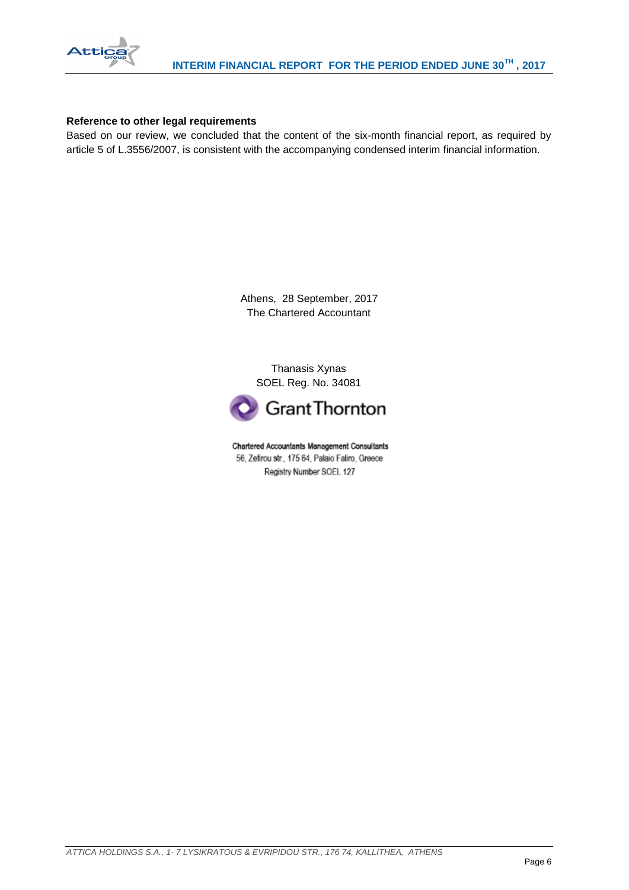

### **Reference to other legal requirements**

Based on our review, we concluded that the content of the six-month financial report, as required by article 5 of L.3556/2007, is consistent with the accompanying condensed interim financial information.

> Athens, 28 September, 2017 The Chartered Accountant

Thanasis Xynas SOEL Reg. No. 34081



Chartered Accountants Management Consultants 56, Zefirou str., 175 64, Palaio Faliro, Greece Registry Number SOEL 127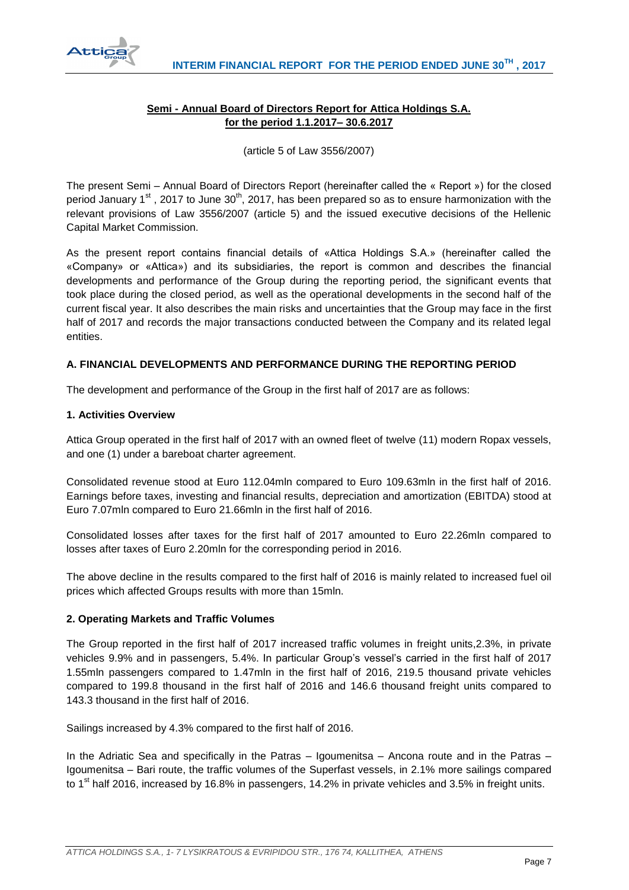<span id="page-7-0"></span>

# **Semi - Annual Board of Directors Report for Attica Holdings S.A. for the period 1.1.2017– 30.6.2017**

(article 5 of Law 3556/2007)

The present Semi – Annual Board of Directors Report (hereinafter called the « Report ») for the closed period January 1<sup>st</sup>, 2017 to June 30<sup>th</sup>, 2017, has been prepared so as to ensure harmonization with the relevant provisions of Law 3556/2007 (article 5) and the issued executive decisions of the Hellenic Capital Market Commission.

As the present report contains financial details of «Attica Holdings S.A.» (hereinafter called the «Company» or «Attica») and its subsidiaries, the report is common and describes the financial developments and performance of the Group during the reporting period, the significant events that took place during the closed period, as well as the operational developments in the second half of the current fiscal year. It also describes the main risks and uncertainties that the Group may face in the first half of 2017 and records the major transactions conducted between the Company and its related legal entities.

# **A. FINANCIAL DEVELOPMENTS AND PERFORMANCE DURING THE REPORTING PERIOD**

The development and performance of the Group in the first half of 2017 are as follows:

### **1. Activities Overview**

Attica Group operated in the first half of 2017 with an owned fleet of twelve (11) modern Ropax vessels, and one (1) under a bareboat charter agreement.

Consolidated revenue stood at Euro 112.04mln compared to Euro 109.63mln in the first half of 2016. Earnings before taxes, investing and financial results, depreciation and amortization (EBITDA) stood at Euro 7.07mln compared to Euro 21.66mln in the first half of 2016.

Consolidated losses after taxes for the first half of 2017 amounted to Euro 22.26mln compared to losses after taxes of Euro 2.20mln for the corresponding period in 2016.

The above decline in the results compared to the first half of 2016 is mainly related to increased fuel oil prices which affected Groups results with more than 15mln.

# **2. Operating Markets and Traffic Volumes**

The Group reported in the first half of 2017 increased traffic volumes in freight units,2.3%, in private vehicles 9.9% and in passengers, 5.4%. In particular Group's vessel's carried in the first half of 2017 1.55mln passengers compared to 1.47mln in the first half of 2016, 219.5 thousand private vehicles compared to 199.8 thousand in the first half of 2016 and 146.6 thousand freight units compared to 143.3 thousand in the first half of 2016.

Sailings increased by 4.3% compared to the first half of 2016.

In the Adriatic Sea and specifically in the Patras – Igoumenitsa – Ancona route and in the Patras – Igoumenitsa – Bari route, the traffic volumes of the Superfast vessels, in 2.1% more sailings compared to 1<sup>st</sup> half 2016, increased by 16.8% in passengers, 14.2% in private vehicles and 3.5% in freight units.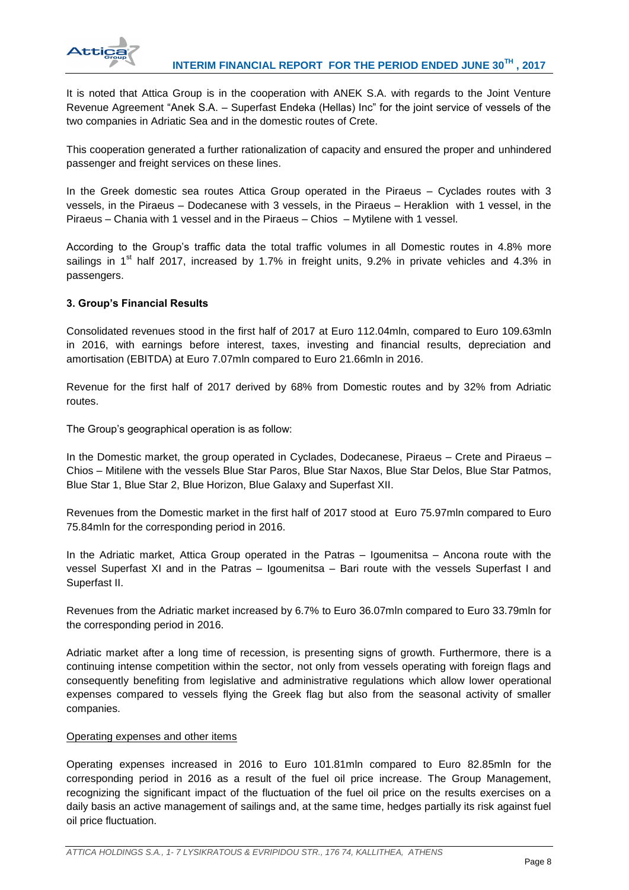

It is noted that Attica Group is in the cooperation with ANEK S.A. with regards to the Joint Venture Revenue Agreement "Anek S.A. – Superfast Endeka (Hellas) Inc" for the joint service of vessels of the two companies in Adriatic Sea and in the domestic routes of Crete.

This cooperation generated a further rationalization of capacity and ensured the proper and unhindered passenger and freight services on these lines.

In the Greek domestic sea routes Attica Group operated in the Piraeus – Cyclades routes with 3 vessels, in the Piraeus – Dodecanese with 3 vessels, in the Piraeus – Heraklion with 1 vessel, in the Piraeus – Chania with 1 vessel and in the Piraeus – Chios – Mytilene with 1 vessel.

According to the Group's traffic data the total traffic volumes in all Domestic routes in 4.8% more sailings in 1<sup>st</sup> half 2017, increased by 1.7% in freight units, 9.2% in private vehicles and 4.3% in passengers.

# **3. Group's Financial Results**

Consolidated revenues stood in the first half of 2017 at Euro 112.04mln, compared to Euro 109.63mln in 2016, with earnings before interest, taxes, investing and financial results, depreciation and amortisation (EBITDA) at Euro 7.07mln compared to Euro 21.66mln in 2016.

Revenue for the first half of 2017 derived by 68% from Domestic routes and by 32% from Adriatic routes.

The Group's geographical operation is as follow:

In the Domestic market, the group operated in Cyclades, Dodecanese, Piraeus – Crete and Piraeus – Chios – Mitilene with the vessels Blue Star Paros, Blue Star Naxos, Blue Star Delos, Blue Star Patmos, Blue Star 1, Blue Star 2, Blue Horizon, Blue Galaxy and Superfast XII.

Revenues from the Domestic market in the first half of 2017 stood at Euro 75.97mln compared to Euro 75.84mln for the corresponding period in 2016.

In the Adriatic market, Attica Group operated in the Patras – Igoumenitsa – Ancona route with the vessel Superfast XI and in the Patras – Igoumenitsa – Bari route with the vessels Superfast I and Superfast II.

Revenues from the Adriatic market increased by 6.7% to Euro 36.07mln compared to Euro 33.79mln for the corresponding period in 2016.

Adriatic market after a long time of recession, is presenting signs of growth. Furthermore, there is a continuing intense competition within the sector, not only from vessels operating with foreign flags and consequently benefiting from legislative and administrative regulations which allow lower operational expenses compared to vessels flying the Greek flag but also from the seasonal activity of smaller companies.

#### Operating expenses and other items

Operating expenses increased in 2016 to Euro 101.81mln compared to Euro 82.85mln for the corresponding period in 2016 as a result of the fuel oil price increase. The Group Management, recognizing the significant impact of the fluctuation of the fuel oil price on the results exercises on a daily basis an active management of sailings and, at the same time, hedges partially its risk against fuel oil price fluctuation.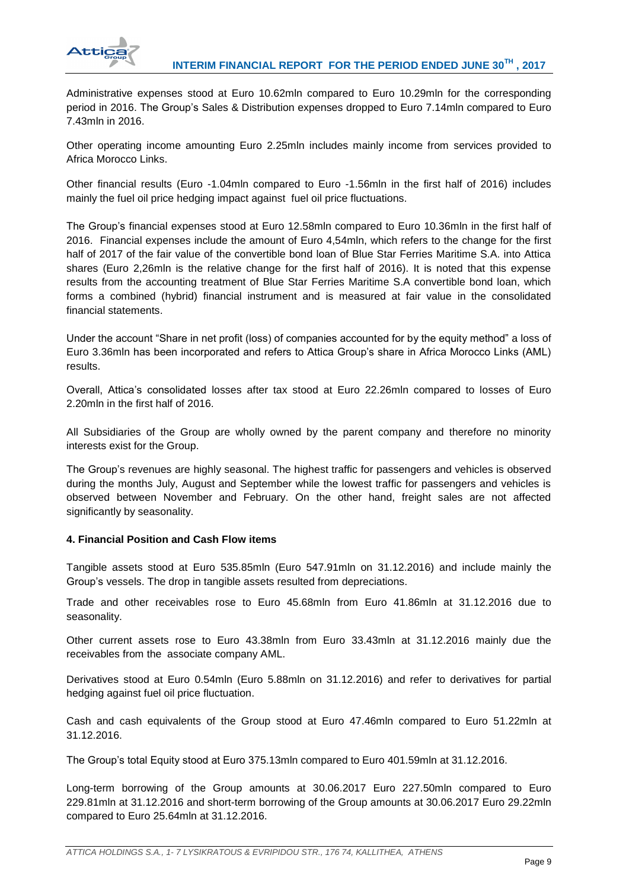

Administrative expenses stood at Euro 10.62mln compared to Euro 10.29mln for the corresponding period in 2016. The Group's Sales & Distribution expenses dropped to Euro 7.14mln compared to Euro 7.43mln in 2016.

Other operating income amounting Euro 2.25mln includes mainly income from services provided to Africa Morocco Links.

Other financial results (Euro -1.04mln compared to Euro -1.56mln in the first half of 2016) includes mainly the fuel oil price hedging impact against fuel oil price fluctuations.

The Group's financial expenses stood at Euro 12.58mln compared to Euro 10.36mln in the first half of 2016. Financial expenses include the amount of Euro 4,54mln, which refers to the change for the first half of 2017 of the fair value of the convertible bond loan of Blue Star Ferries Maritime S.A. into Attica shares (Euro 2,26mln is the relative change for the first half of 2016). It is noted that this expense results from the accounting treatment of Blue Star Ferries Maritime S.A convertible bond loan, which forms a combined (hybrid) financial instrument and is measured at fair value in the consolidated financial statements.

Under the account "Share in net profit (loss) of companies accounted for by the equity method" a loss of Euro 3.36mln has been incorporated and refers to Attica Group's share in Africa Morocco Links (AML) results.

Overall, Attica's consolidated losses after tax stood at Euro 22.26mln compared to losses of Euro 2.20mln in the first half of 2016.

All Subsidiaries of the Group are wholly owned by the parent company and therefore no minority interests exist for the Group.

The Group's revenues are highly seasonal. The highest traffic for passengers and vehicles is observed during the months July, August and September while the lowest traffic for passengers and vehicles is observed between November and February. On the other hand, freight sales are not affected significantly by seasonality.

#### **4. Financial Position and Cash Flow items**

Tangible assets stood at Euro 535.85mln (Euro 547.91mln on 31.12.2016) and include mainly the Group's vessels. The drop in tangible assets resulted from depreciations.

Trade and other receivables rose to Euro 45.68mln from Euro 41.86mln at 31.12.2016 due to seasonality.

Other current assets rose to Euro 43.38mln from Euro 33.43mln at 31.12.2016 mainly due the receivables from the associate company AML.

Derivatives stood at Euro 0.54mln (Euro 5.88mln on 31.12.2016) and refer to derivatives for partial hedging against fuel oil price fluctuation.

Cash and cash equivalents of the Group stood at Euro 47.46mln compared to Euro 51.22mln at 31.12.2016.

The Group's total Equity stood at Euro 375.13mln compared to Euro 401.59mln at 31.12.2016.

Long-term borrowing of the Group amounts at 30.06.2017 Euro 227.50mln compared to Euro 229.81mln at 31.12.2016 and short-term borrowing of the Group amounts at 30.06.2017 Euro 29.22mln compared to Euro 25.64mln at 31.12.2016.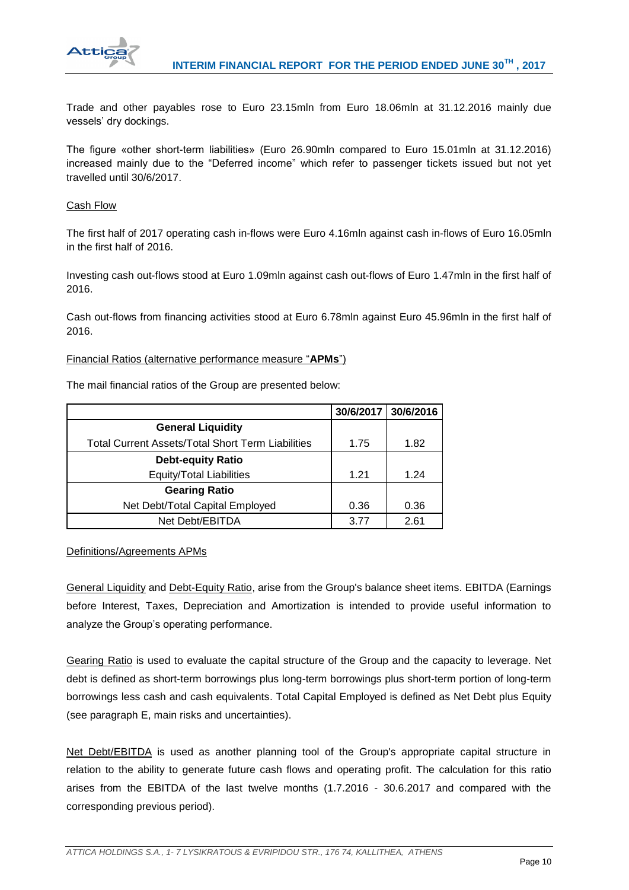

Trade and other payables rose to Euro 23.15mln from Euro 18.06mln at 31.12.2016 mainly due vessels' dry dockings.

The figure «other short-term liabilities» (Euro 26.90mln compared to Euro 15.01mln at 31.12.2016) increased mainly due to the "Deferred income" which refer to passenger tickets issued but not yet travelled until 30/6/2017.

# Cash Flow

The first half of 2017 operating cash in-flows were Euro 4.16mln against cash in-flows of Euro 16.05mln in the first half of 2016.

Investing cash out-flows stood at Euro 1.09mln against cash out-flows of Euro 1.47mln in the first half of 2016.

Cash out-flows from financing activities stood at Euro 6.78mln against Euro 45.96mln in the first half of 2016.

#### Financial Ratios (alternative performance measure "**APMs**")

The mail financial ratios of the Group are presented below:

|                                                          | 30/6/2017 | 30/6/2016 |
|----------------------------------------------------------|-----------|-----------|
| <b>General Liquidity</b>                                 |           |           |
| <b>Total Current Assets/Total Short Term Liabilities</b> | 1.75      | 1.82      |
| <b>Debt-equity Ratio</b>                                 |           |           |
| Equity/Total Liabilities                                 | 1.21      | 1.24      |
| <b>Gearing Ratio</b>                                     |           |           |
| Net Debt/Total Capital Employed                          | 0.36      | 0.36      |
| Net Debt/EBITDA                                          | 3.77      | 2.61      |

# Definitions/Agreements APMs

General Liquidity and Debt-Equity Ratio, arise from the Group's balance sheet items. EBITDA (Earnings before Interest, Taxes, Depreciation and Amortization is intended to provide useful information to analyze the Group's operating performance.

Gearing Ratio is used to evaluate the capital structure of the Group and the capacity to leverage. Net debt is defined as short-term borrowings plus long-term borrowings plus short-term portion of long-term borrowings less cash and cash equivalents. Total Capital Employed is defined as Net Debt plus Equity (see paragraph E, main risks and uncertainties).

Net Debt/EBITDA is used as another planning tool of the Group's appropriate capital structure in relation to the ability to generate future cash flows and operating profit. The calculation for this ratio arises from the EBITDA of the last twelve months (1.7.2016 - 30.6.2017 and compared with the corresponding previous period).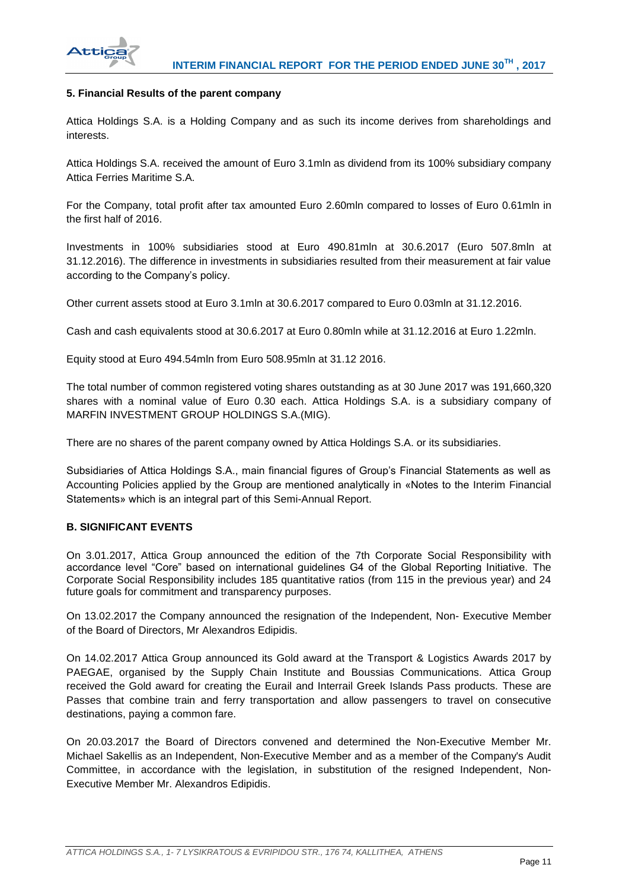

### **5. Financial Results of the parent company**

Attica Holdings S.A. is a Holding Company and as such its income derives from shareholdings and interests.

Attica Holdings S.A. received the amount of Euro 3.1mln as dividend from its 100% subsidiary company Attica Ferries Maritime S.A.

For the Company, total profit after tax amounted Euro 2.60mln compared to losses of Euro 0.61mln in the first half of 2016.

Investments in 100% subsidiaries stood at Euro 490.81mln at 30.6.2017 (Euro 507.8mln at 31.12.2016). The difference in investments in subsidiaries resulted from their measurement at fair value according to the Company's policy.

Other current assets stood at Euro 3.1mln at 30.6.2017 compared to Euro 0.03mln at 31.12.2016.

Cash and cash equivalents stood at 30.6.2017 at Euro 0.80mln while at 31.12.2016 at Euro 1.22mln.

Equity stood at Euro 494.54mln from Euro 508.95mln at 31.12 2016.

The total number of common registered voting shares outstanding as at 30 June 2017 was 191,660,320 shares with a nominal value of Euro 0.30 each. Attica Holdings S.A. is a subsidiary company of MARFIN INVESTMENT GROUP HOLDINGS S.A.(MIG).

There are no shares of the parent company owned by Attica Holdings S.A. or its subsidiaries.

Subsidiaries of Attica Holdings S.A., main financial figures of Group's Financial Statements as well as Accounting Policies applied by the Group are mentioned analytically in «Notes to the Interim Financial Statements» which is an integral part of this Semi-Annual Report.

# **B. SIGNIFICANT EVENTS**

On 3.01.2017, Attica Group announced the edition of the 7th Corporate Social Responsibility with accordance level "Core" based on international guidelines G4 of the Global Reporting Initiative. The Corporate Social Responsibility includes 185 quantitative ratios (from 115 in the previous year) and 24 future goals for commitment and transparency purposes.

On 13.02.2017 the Company announced the resignation of the Independent, Non- Executive Member of the Board of Directors, Mr Alexandros Edipidis.

On 14.02.2017 Attica Group announced its Gold award at the Transport & Logistics Awards 2017 by PAEGAE, organised by the Supply Chain Institute and Boussias Communications. Attica Group received the Gold award for creating the Eurail and Interrail Greek Islands Pass products. These are Passes that combine train and ferry transportation and allow passengers to travel on consecutive destinations, paying a common fare.

On 20.03.2017 the Board of Directors convened and determined the Non-Executive Member Mr. Michael Sakellis as an Independent, Non-Executive Member and as a member of the Company's Audit Committee, in accordance with the legislation, in substitution of the resigned Independent, Non-Executive Member Mr. Alexandros Edipidis.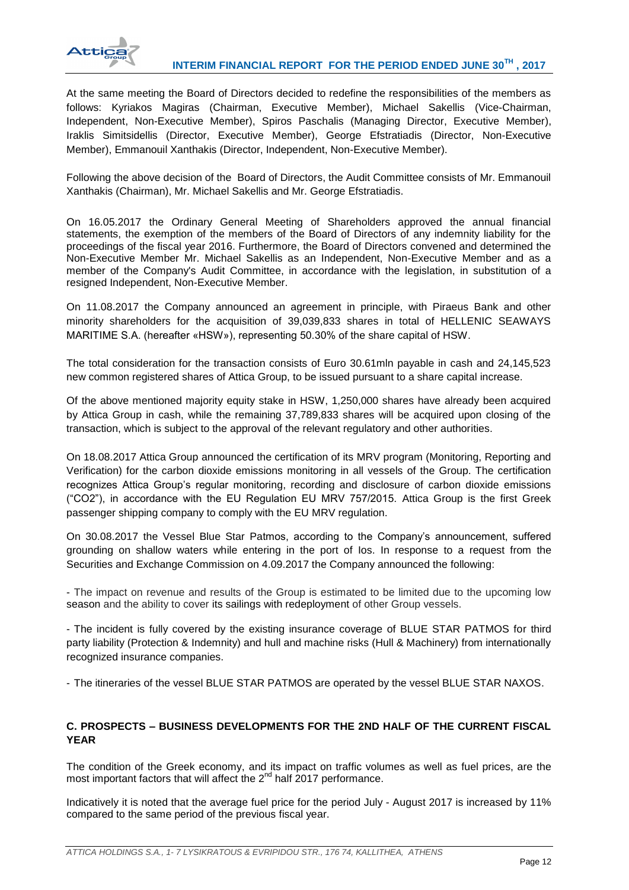

At the same meeting the Board of Directors decided to redefine the responsibilities of the members as follows: Kyriakos Magiras (Chairman, Executive Member), Michael Sakellis (Vice-Chairman, Independent, Non-Executive Member), Spiros Paschalis (Managing Director, Executive Member), Iraklis Simitsidellis (Director, Executive Member), George Efstratiadis (Director, Non-Executive Member), Emmanouil Xanthakis (Director, Independent, Non-Executive Member).

Following the above decision of the Board of Directors, the Audit Committee consists of Mr. Emmanouil Xanthakis (Chairman), Mr. Michael Sakellis and Mr. George Efstratiadis.

On 16.05.2017 the Ordinary General Meeting of Shareholders approved the annual financial statements, the exemption of the members of the Board of Directors of any indemnity liability for the proceedings of the fiscal year 2016. Furthermore, the Board of Directors convened and determined the Non-Executive Member Mr. Michael Sakellis as an Independent, Non-Executive Member and as a member of the Company's Audit Committee, in accordance with the legislation, in substitution of a resigned Independent, Non-Executive Member.

On 11.08.2017 the Company announced an agreement in principle, with Piraeus Bank and other minority shareholders for the acquisition of 39,039,833 shares in total of HELLENIC SEAWAYS MARITIME S.A. (hereafter «HSW»), representing 50.30% of the share capital of HSW.

The total consideration for the transaction consists of Euro 30.61mln payable in cash and 24,145,523 new common registered shares of Attica Group, to be issued pursuant to a share capital increase.

Of the above mentioned majority equity stake in HSW, 1,250,000 shares have already been acquired by Attica Group in cash, while the remaining 37,789,833 shares will be acquired upon closing of the transaction, which is subject to the approval of the relevant regulatory and other authorities.

On 18.08.2017 Attica Group announced the certification of its MRV program (Monitoring, Reporting and Verification) for the carbon dioxide emissions monitoring in all vessels of the Group. The certification recognizes Attica Group's regular monitoring, recording and disclosure of carbon dioxide emissions ("CO2"), in accordance with the EU Regulation EU MRV 757/2015. Attica Group is the first Greek passenger shipping company to comply with the EU MRV regulation.

On 30.08.2017 the Vessel Blue Star Patmos, according to the Company's announcement, suffered grounding on shallow waters while entering in the port of Ios. In response to a request from the Securities and Exchange Commission on 4.09.2017 the Company announced the following:

- The impact on revenue and results of the Group is estimated to be limited due to the upcoming low season and the ability to cover its sailings with redeployment of other Group vessels.

- The incident is fully covered by the existing insurance coverage of BLUE STAR PATMOS for third party liability (Protection & Indemnity) and hull and machine risks (Hull & Machinery) from internationally recognized insurance companies.

- The itineraries of the vessel BLUE STAR PATMOS are operated by the vessel BLUE STAR NAXOS.

# **C. PROSPECTS – BUSINESS DEVELOPMENTS FOR THE 2ND HALF OF THE CURRENT FISCAL YEAR**

The condition of the Greek economy, and its impact on traffic volumes as well as fuel prices, are the most important factors that will affect the  $2<sup>nd</sup>$  half 2017 performance.

Indicatively it is noted that the average fuel price for the period July - August 2017 is increased by 11% compared to the same period of the previous fiscal year.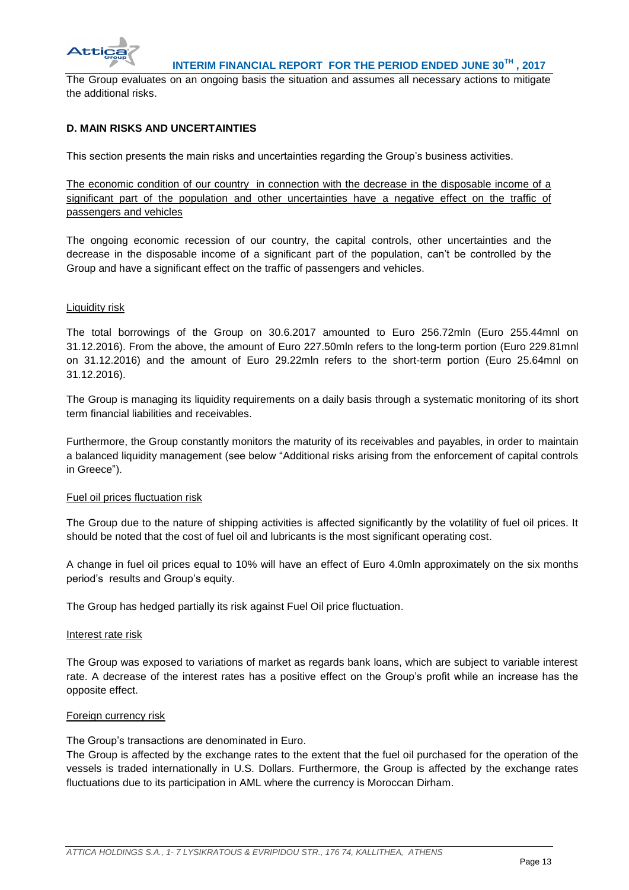

The Group evaluates on an ongoing basis the situation and assumes all necessary actions to mitigate the additional risks.

# **D. MAIN RISKS AND UNCERTAINTIES**

This section presents the main risks and uncertainties regarding the Group's business activities.

The economic condition of our country in connection with the decrease in the disposable income of a significant part of the population and other uncertainties have a negative effect on the traffic of passengers and vehicles

The ongoing economic recession of our country, the capital controls, other uncertainties and the decrease in the disposable income of a significant part of the population, can't be controlled by the Group and have a significant effect on the traffic of passengers and vehicles.

### Liquidity risk

The total borrowings of the Group on 30.6.2017 amounted to Euro 256.72mln (Euro 255.44mnl on 31.12.2016). From the above, the amount of Euro 227.50mln refers to the long-term portion (Euro 229.81mnl on 31.12.2016) and the amount of Euro 29.22mln refers to the short-term portion (Euro 25.64mnl on 31.12.2016).

The Group is managing its liquidity requirements on a daily basis through a systematic monitoring of its short term financial liabilities and receivables.

Furthermore, the Group constantly monitors the maturity of its receivables and payables, in order to maintain a balanced liquidity management (see below "Additional risks arising from the enforcement of capital controls in Greece").

#### Fuel oil prices fluctuation risk

The Group due to the nature of shipping activities is affected significantly by the volatility of fuel oil prices. It should be noted that the cost of fuel oil and lubricants is the most significant operating cost.

A change in fuel oil prices equal to 10% will have an effect of Euro 4.0mln approximately on the six months period's results and Group's equity.

The Group has hedged partially its risk against Fuel Oil price fluctuation.

#### Interest rate risk

The Group was exposed to variations of market as regards bank loans, which are subject to variable interest rate. A decrease of the interest rates has a positive effect on the Group's profit while an increase has the opposite effect.

#### Foreign currency risk

The Group's transactions are denominated in Euro.

The Group is affected by the exchange rates to the extent that the fuel oil purchased for the operation of the vessels is traded internationally in U.S. Dollars. Furthermore, the Group is affected by the exchange rates fluctuations due to its participation in AML where the currency is Moroccan Dirham.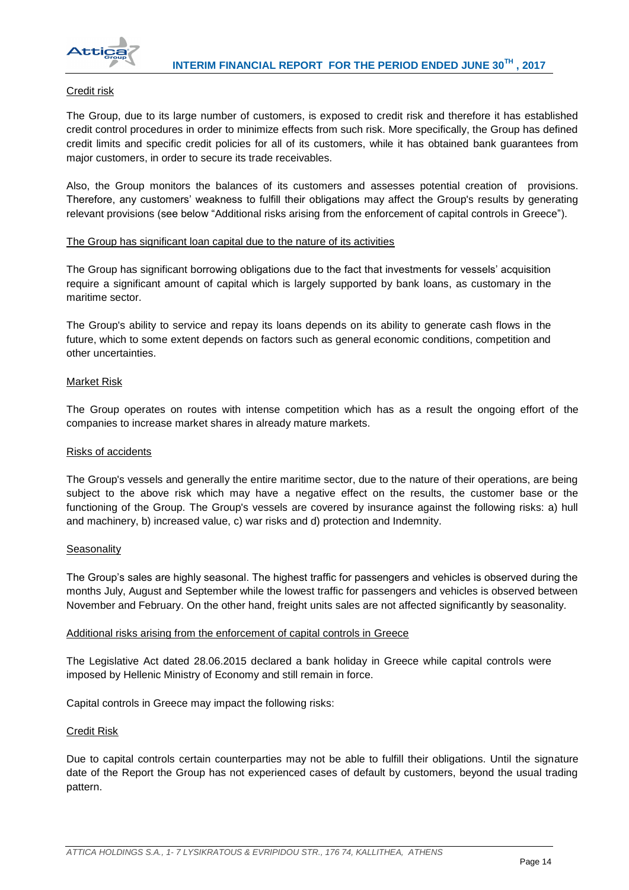

### Credit risk

The Group, due to its large number of customers, is exposed to credit risk and therefore it has established credit control procedures in order to minimize effects from such risk. More specifically, the Group has defined credit limits and specific credit policies for all of its customers, while it has obtained bank guarantees from major customers, in order to secure its trade receivables.

Also, the Group monitors the balances of its customers and assesses potential creation of provisions. Therefore, any customers' weakness to fulfill their obligations may affect the Group's results by generating relevant provisions (see below "Additional risks arising from the enforcement of capital controls in Greece").

### The Group has significant loan capital due to the nature of its activities

The Group has significant borrowing obligations due to the fact that investments for vessels' acquisition require a significant amount of capital which is largely supported by bank loans, as customary in the maritime sector.

The Group's ability to service and repay its loans depends on its ability to generate cash flows in the future, which to some extent depends on factors such as general economic conditions, competition and other uncertainties.

### Market Risk

The Group operates on routes with intense competition which has as a result the ongoing effort of the companies to increase market shares in already mature markets.

#### Risks of accidents

The Group's vessels and generally the entire maritime sector, due to the nature of their operations, are being subject to the above risk which may have a negative effect on the results, the customer base or the functioning of the Group. The Group's vessels are covered by insurance against the following risks: a) hull and machinery, b) increased value, c) war risks and d) protection and Indemnity.

#### **Seasonality**

The Group's sales are highly seasonal. The highest traffic for passengers and vehicles is observed during the months July, August and September while the lowest traffic for passengers and vehicles is observed between November and February. On the other hand, freight units sales are not affected significantly by seasonality.

#### Additional risks arising from the enforcement of capital controls in Greece

The Legislative Act dated 28.06.2015 declared a bank holiday in Greece while capital controls were imposed by Hellenic Ministry of Economy and still remain in force.

Capital controls in Greece may impact the following risks:

# Credit Risk

Due to capital controls certain counterparties may not be able to fulfill their obligations. Until the signature date of the Report the Group has not experienced cases of default by customers, beyond the usual trading pattern.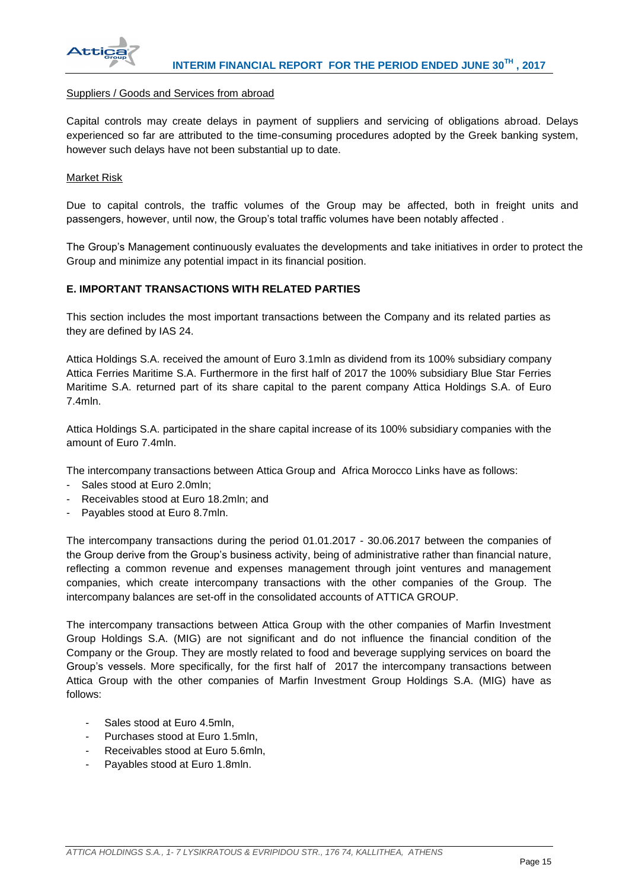

#### Suppliers / Goods and Services from abroad

Capital controls may create delays in payment of suppliers and servicing of obligations abroad. Delays experienced so far are attributed to the time-consuming procedures adopted by the Greek banking system, however such delays have not been substantial up to date.

### Market Risk

Due to capital controls, the traffic volumes of the Group may be affected, both in freight units and passengers, however, until now, the Group's total traffic volumes have been notably affected .

The Group's Management continuously evaluates the developments and take initiatives in order to protect the Group and minimize any potential impact in its financial position.

### **E. IMPORTANT TRANSACTIONS WITH RELATED PARTIES**

This section includes the most important transactions between the Company and its related parties as they are defined by IAS 24.

Attica Holdings S.A. received the amount of Euro 3.1mln as dividend from its 100% subsidiary company Attica Ferries Maritime S.A. Furthermore in the first half of 2017 the 100% subsidiary Blue Star Ferries Maritime S.A. returned part of its share capital to the parent company Attica Holdings S.A. of Euro 7.4mln.

Attica Holdings S.A. participated in the share capital increase of its 100% subsidiary companies with the amount of Euro 7.4mln.

The intercompany transactions between Attica Group and Africa Morocco Links have as follows:

- Sales stood at Euro 2.0mln;
- Receivables stood at Euro 18.2mln; and
- Payables stood at Euro 8.7mln.

The intercompany transactions during the period 01.01.2017 - 30.06.2017 between the companies of the Group derive from the Group's business activity, being of administrative rather than financial nature, reflecting a common revenue and expenses management through joint ventures and management companies, which create intercompany transactions with the other companies of the Group. The intercompany balances are set-off in the consolidated accounts of ATTICA GROUP.

The intercompany transactions between Attica Group with the other companies of Marfin Investment Group Holdings S.A. (MIG) are not significant and do not influence the financial condition of the Company or the Group. They are mostly related to food and beverage supplying services on board the Group's vessels. More specifically, for the first half of 2017 the intercompany transactions between Attica Group with the other companies of Marfin Investment Group Holdings S.A. (MIG) have as follows:

- Sales stood at Euro 4.5mln,
- Purchases stood at Euro 1.5mln.
- Receivables stood at Euro 5.6mln.
- Payables stood at Euro 1.8mln.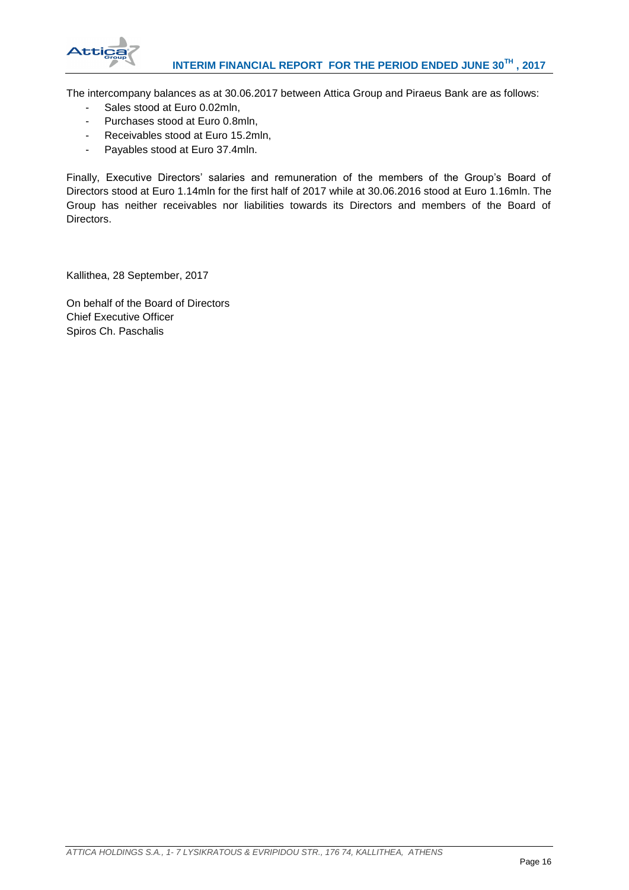

The intercompany balances as at 30.06.2017 between Attica Group and Piraeus Bank are as follows:

- Sales stood at Euro 0.02mln,
- Purchases stood at Euro 0.8mln,
- Receivables stood at Euro 15.2mln,
- Payables stood at Euro 37.4mln.

Finally, Executive Directors' salaries and remuneration of the members of the Group's Board of Directors stood at Euro 1.14mln for the first half of 2017 while at 30.06.2016 stood at Euro 1.16mln. The Group has neither receivables nor liabilities towards its Directors and members of the Board of Directors.

Kallithea, 28 September, 2017

On behalf of the Board of Directors Chief Executive Officer Spiros Ch. Paschalis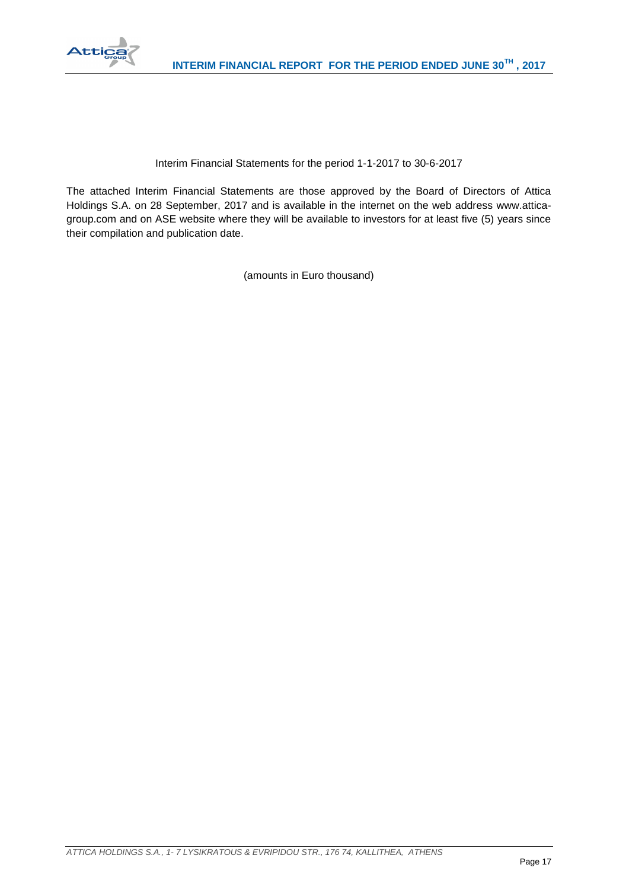

# Interim Financial Statements for the period 1-1-2017 to 30-6-2017

The attached Interim Financial Statements are those approved by the Board of Directors of Attica Holdings S.A. on 28 September, 2017 and is available in the internet on the web address www.atticagroup.com and on ASE website where they will be available to investors for at least five (5) years since their compilation and publication date.

(amounts in Euro thousand)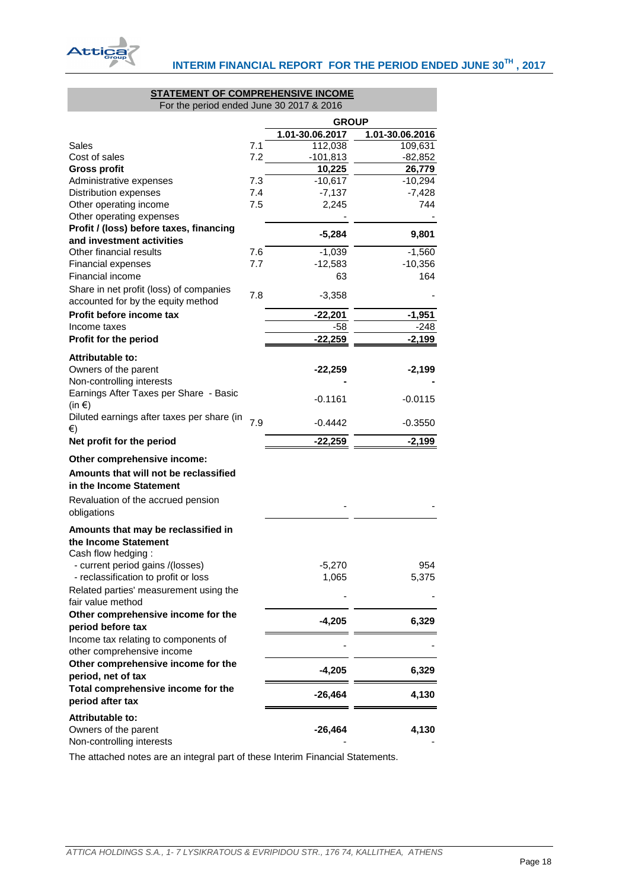

#### **STATEMENT OF COMPREHENSIVE INCOME** For the period ended June 30 2017 & 2016

<span id="page-18-0"></span>

|                                                                      |     | <b>GROUP</b>    |                 |
|----------------------------------------------------------------------|-----|-----------------|-----------------|
|                                                                      |     | 1.01-30.06.2017 | 1.01-30.06.2016 |
| Sales                                                                | 7.1 | 112,038         | 109,631         |
| Cost of sales                                                        | 7.2 | $-101,813$      | <u>-82,852</u>  |
| <b>Gross profit</b>                                                  |     | 10,225          | 26,779          |
| Administrative expenses                                              | 7.3 | $-10,617$       | $-10,294$       |
| Distribution expenses                                                | 7.4 | $-7,137$        | $-7,428$        |
| Other operating income                                               | 7.5 | 2,245           | 744             |
| Other operating expenses                                             |     |                 |                 |
| Profit / (loss) before taxes, financing<br>and investment activities |     | $-5,284$        | 9,801           |
| Other financial results                                              | 7.6 | $-1,039$        | $-1,560$        |
| <b>Financial expenses</b>                                            | 7.7 | $-12,583$       | $-10,356$       |
| Financial income                                                     |     | 63              | 164             |
| Share in net profit (loss) of companies                              |     |                 |                 |
| accounted for by the equity method                                   | 7.8 | $-3,358$        |                 |
| Profit before income tax                                             |     | $-22,201$       | $-1,951$        |
| Income taxes                                                         |     | -58             | $-248$          |
| Profit for the period                                                |     | $-22,259$       | <u>-2,199</u>   |
|                                                                      |     |                 |                 |
| Attributable to:                                                     |     |                 |                 |
| Owners of the parent                                                 |     | $-22,259$       | $-2,199$        |
| Non-controlling interests<br>Earnings After Taxes per Share - Basic  |     |                 |                 |
| $(in \in)$                                                           |     | $-0.1161$       | $-0.0115$       |
| Diluted earnings after taxes per share (in                           |     |                 |                 |
| €)                                                                   | 7.9 | $-0.4442$       | $-0.3550$       |
| Net profit for the period                                            |     | $-22,259$       | $-2,199$        |
| Other comprehensive income:                                          |     |                 |                 |
| Amounts that will not be reclassified                                |     |                 |                 |
| in the Income Statement                                              |     |                 |                 |
| Revaluation of the accrued pension                                   |     |                 |                 |
| obligations                                                          |     |                 |                 |
| Amounts that may be reclassified in                                  |     |                 |                 |
| the Income Statement                                                 |     |                 |                 |
| Cash flow hedging:                                                   |     |                 |                 |
| - current period gains /(losses)                                     |     | $-5,270$        | 954             |
| - reclassification to profit or loss                                 |     | 1,065           | 5,375           |
| Related parties' measurement using the                               |     |                 |                 |
| fair value method                                                    |     |                 |                 |
| Other comprehensive income for the                                   |     |                 |                 |
| period before tax                                                    |     | $-4,205$        | 6,329           |
| Income tax relating to components of                                 |     |                 |                 |
| other comprehensive income                                           |     |                 |                 |
| Other comprehensive income for the                                   |     | $-4,205$        |                 |
| period, net of tax                                                   |     |                 | 6,329           |
| Total comprehensive income for the                                   |     | $-26,464$       | 4,130           |
| period after tax                                                     |     |                 |                 |
| Attributable to:                                                     |     |                 |                 |
| Owners of the parent                                                 |     | $-26,464$       | 4,130           |
| Non-controlling interests                                            |     |                 |                 |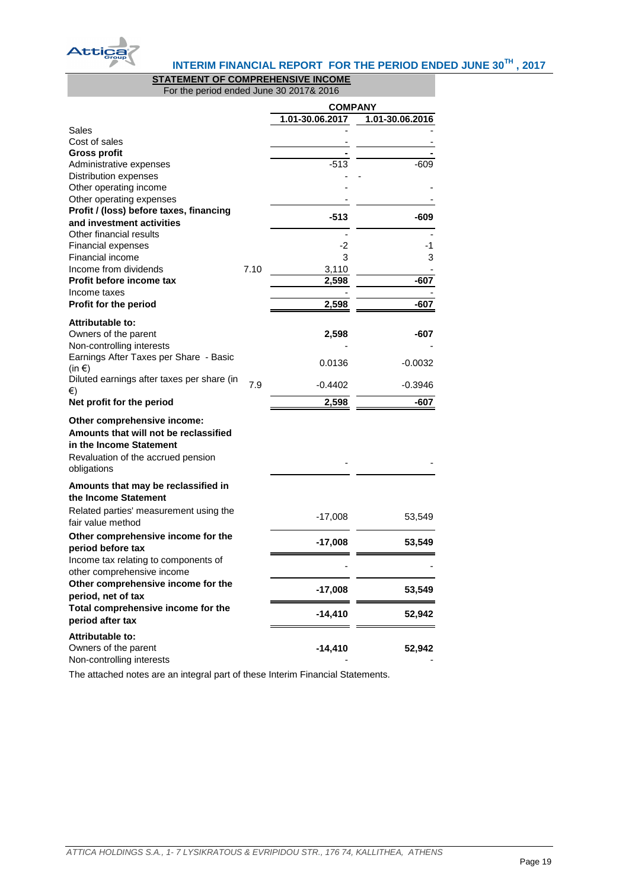

# **INTERIM FINANCIAL REPORT FOR THE PERIOD ENDED JUNE 30TH , 2017**

# **STATEMENT OF COMPREHENSIVE INCOME**

For the period ended June 30 2017& 2016

<span id="page-19-0"></span>

|                                                                |      | <b>COMPANY</b>  |                 |
|----------------------------------------------------------------|------|-----------------|-----------------|
|                                                                |      | 1.01-30.06.2017 | 1.01-30.06.2016 |
| Sales                                                          |      |                 |                 |
| Cost of sales                                                  |      |                 |                 |
| <b>Gross profit</b><br>Administrative expenses                 |      | $-513$          | $-609$          |
| Distribution expenses                                          |      |                 |                 |
| Other operating income                                         |      |                 |                 |
| Other operating expenses                                       |      |                 |                 |
| Profit / (loss) before taxes, financing                        |      |                 |                 |
| and investment activities                                      |      | $-513$          | -609            |
| Other financial results                                        |      |                 |                 |
| <b>Financial expenses</b>                                      |      | -2              | -1              |
| Financial income                                               |      | 3               | 3               |
| Income from dividends                                          | 7.10 | 3,110           |                 |
| Profit before income tax                                       |      | 2,598           | $-607$          |
| Income taxes                                                   |      |                 |                 |
| Profit for the period                                          |      | 2,598           | $-607$          |
| Attributable to:                                               |      |                 |                 |
| Owners of the parent                                           |      | 2,598           | -607            |
| Non-controlling interests                                      |      |                 |                 |
| Earnings After Taxes per Share - Basic                         |      | 0.0136          | -0.0032         |
| (in $\epsilon$ )<br>Diluted earnings after taxes per share (in |      |                 |                 |
| €)                                                             | 7.9  | $-0.4402$       | $-0.3946$       |
| Net profit for the period                                      |      | 2,598           | -607            |
| Other comprehensive income:                                    |      |                 |                 |
| Amounts that will not be reclassified                          |      |                 |                 |
| in the Income Statement                                        |      |                 |                 |
| Revaluation of the accrued pension                             |      |                 |                 |
| obligations                                                    |      |                 |                 |
| Amounts that may be reclassified in                            |      |                 |                 |
| the Income Statement                                           |      |                 |                 |
| Related parties' measurement using the                         |      |                 |                 |
| fair value method                                              |      | $-17,008$       | 53,549          |
| Other comprehensive income for the                             |      | $-17,008$       | 53,549          |
| period before tax                                              |      |                 |                 |
| Income tax relating to components of                           |      |                 |                 |
| other comprehensive income                                     |      |                 |                 |
| Other comprehensive income for the                             |      | $-17,008$       | 53,549          |
| period, net of tax                                             |      |                 |                 |
| Total comprehensive income for the<br>period after tax         |      | $-14,410$       | 52,942          |
|                                                                |      |                 |                 |
| Attributable to:                                               |      |                 |                 |
| Owners of the parent<br>Non-controlling interests              |      | $-14,410$       | 52,942          |
|                                                                |      |                 |                 |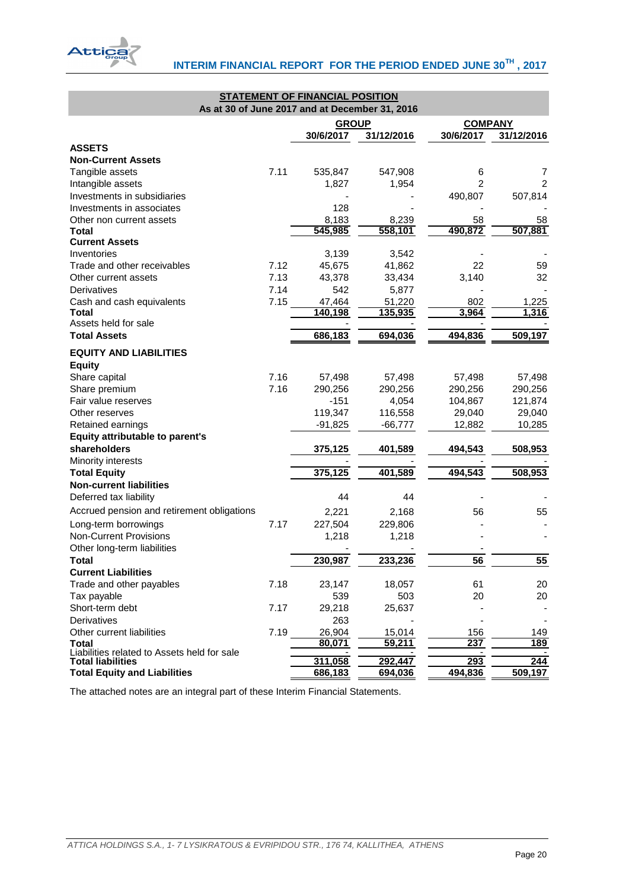

<span id="page-20-0"></span>

| <b>STATEMENT OF FINANCIAL POSITION</b>         |      |                  |                  |                |                |  |  |  |
|------------------------------------------------|------|------------------|------------------|----------------|----------------|--|--|--|
| As at 30 of June 2017 and at December 31, 2016 |      |                  |                  |                |                |  |  |  |
|                                                |      | <b>GROUP</b>     |                  |                | <b>COMPANY</b> |  |  |  |
|                                                |      | 30/6/2017        | 31/12/2016       | 30/6/2017      | 31/12/2016     |  |  |  |
| <b>ASSETS</b>                                  |      |                  |                  |                |                |  |  |  |
| <b>Non-Current Assets</b>                      |      |                  |                  |                |                |  |  |  |
| Tangible assets                                | 7.11 | 535,847          | 547,908          | 6              | 7              |  |  |  |
| Intangible assets                              |      | 1,827            | 1,954            | $\overline{2}$ | $\overline{2}$ |  |  |  |
| Investments in subsidiaries                    |      |                  |                  | 490,807        | 507,814        |  |  |  |
| Investments in associates                      |      | 128              |                  |                |                |  |  |  |
| Other non current assets<br><b>Total</b>       |      | 8,183<br>545,985 | 8,239<br>558,101 | 58<br>490,872  | 58<br>507,881  |  |  |  |
| <b>Current Assets</b>                          |      |                  |                  |                |                |  |  |  |
| Inventories                                    |      | 3,139            | 3,542            |                |                |  |  |  |
| Trade and other receivables                    | 7.12 | 45,675           | 41,862           | 22             | 59             |  |  |  |
| Other current assets                           | 7.13 | 43,378           | 33,434           | 3,140          | 32             |  |  |  |
| Derivatives                                    | 7.14 | 542              | 5,877            |                |                |  |  |  |
| Cash and cash equivalents                      | 7.15 | 47,464           | 51,220           | 802            | 1,225          |  |  |  |
| Total                                          |      | 140,198          | 135,935          | 3,964          | 1,316          |  |  |  |
| Assets held for sale                           |      |                  |                  |                |                |  |  |  |
| <b>Total Assets</b>                            |      | 686,183          | 694,036          | 494,836        | 509,197        |  |  |  |
| <b>EQUITY AND LIABILITIES</b>                  |      |                  |                  |                |                |  |  |  |
| <b>Equity</b>                                  |      |                  |                  |                |                |  |  |  |
| Share capital                                  | 7.16 | 57,498           | 57,498           | 57,498         | 57,498         |  |  |  |
| Share premium                                  | 7.16 | 290,256          | 290,256          | 290,256        | 290,256        |  |  |  |
| Fair value reserves                            |      | $-151$           | 4,054            | 104,867        | 121,874        |  |  |  |
| Other reserves                                 |      | 119,347          | 116,558          | 29,040         | 29,040         |  |  |  |
| Retained earnings                              |      | $-91,825$        | $-66,777$        | 12,882         | 10,285         |  |  |  |
| Equity attributable to parent's                |      |                  |                  |                |                |  |  |  |
| shareholders                                   |      | 375,125          | 401,589          | 494,543        | 508,953        |  |  |  |
| Minority interests                             |      |                  |                  |                |                |  |  |  |
| <b>Total Equity</b>                            |      | 375,125          | 401,589          | 494,543        | 508,953        |  |  |  |
| <b>Non-current liabilities</b>                 |      |                  |                  |                |                |  |  |  |
| Deferred tax liability                         |      | 44               | 44               |                |                |  |  |  |
| Accrued pension and retirement obligations     |      | 2,221            | 2,168            | 56             | 55             |  |  |  |
| Long-term borrowings                           | 7.17 | 227,504          | 229,806          |                |                |  |  |  |
| <b>Non-Current Provisions</b>                  |      | 1,218            | 1,218            |                |                |  |  |  |
| Other long-term liabilities                    |      |                  |                  |                |                |  |  |  |
| Total                                          |      | 230,987          | 233.236          | 56             | 55             |  |  |  |
| <b>Current Liabilities</b>                     |      |                  |                  |                |                |  |  |  |
| Trade and other payables                       | 7.18 | 23,147           | 18,057           | 61             | 20             |  |  |  |
| Tax payable                                    |      | 539              | 503              | 20             | 20             |  |  |  |
| Short-term debt                                | 7.17 | 29,218           | 25,637           |                |                |  |  |  |
| Derivatives                                    |      | 263              |                  |                |                |  |  |  |
| Other current liabilities                      | 7.19 | 26,904           | 15,014           | 156            | 149            |  |  |  |
| <b>Total</b>                                   |      | 80,071           | 59,211           | 237            | 189            |  |  |  |
| Liabilities related to Assets held for sale    |      |                  |                  |                |                |  |  |  |
| <b>Total liabilities</b>                       |      | 311,058          | 292,447          | 293            | 244            |  |  |  |
| <b>Total Equity and Liabilities</b>            |      | 686,183          | 694,036          | 494,836        | 509,197        |  |  |  |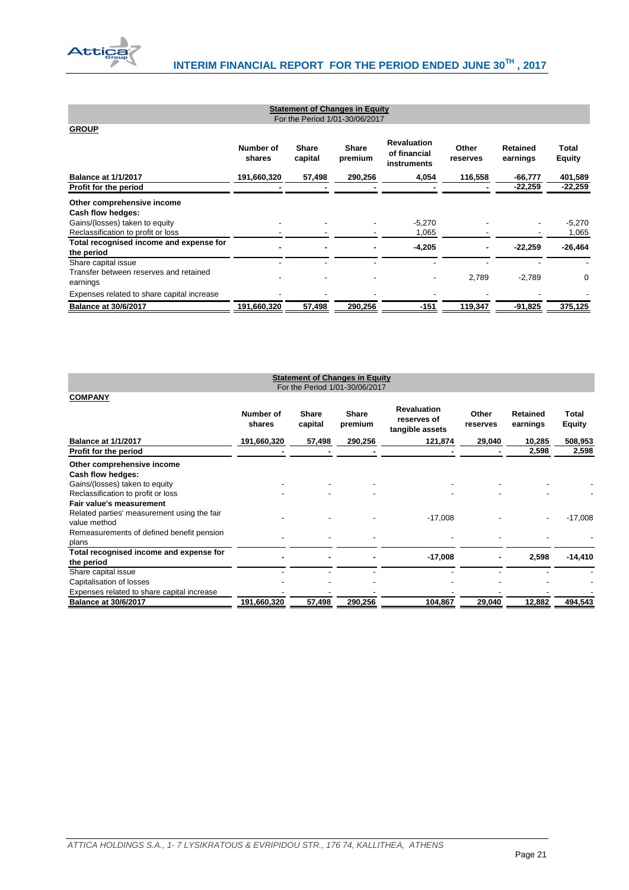

| <b>Statement of Changes in Equity</b><br>For the Period 1/01-30/06/2017 |                     |                         |                         |                                                   |                   |                      |                        |  |  |
|-------------------------------------------------------------------------|---------------------|-------------------------|-------------------------|---------------------------------------------------|-------------------|----------------------|------------------------|--|--|
| <b>GROUP</b>                                                            |                     |                         |                         |                                                   |                   |                      |                        |  |  |
|                                                                         | Number of<br>shares | <b>Share</b><br>capital | <b>Share</b><br>premium | <b>Revaluation</b><br>of financial<br>instruments | Other<br>reserves | Retained<br>earnings | Total<br><b>Equity</b> |  |  |
| <b>Balance at 1/1/2017</b>                                              | 191,660,320         | 57,498                  | 290,256                 | 4,054                                             | 116,558           | -66,777              | 401,589                |  |  |
| Profit for the period                                                   |                     |                         |                         |                                                   |                   | -22,259              | $-22,259$              |  |  |
| Other comprehensive income<br>Cash flow hedges:                         |                     |                         |                         |                                                   |                   |                      |                        |  |  |
| Gains/(losses) taken to equity                                          |                     |                         |                         | $-5,270$                                          |                   |                      | $-5,270$               |  |  |
| Reclassification to profit or loss                                      |                     |                         |                         | 1,065                                             |                   |                      | 1,065                  |  |  |
| Total recognised income and expense for<br>the period                   |                     |                         |                         | $-4,205$                                          |                   | -22,259              | $-26,464$              |  |  |
| Share capital issue                                                     |                     |                         |                         |                                                   |                   |                      |                        |  |  |
| Transfer between reserves and retained<br>earnings                      |                     |                         |                         | $\overline{\phantom{a}}$                          | 2,789             | $-2,789$             | 0                      |  |  |
| Expenses related to share capital increase                              |                     |                         |                         |                                                   |                   |                      |                        |  |  |
| <b>Balance at 30/6/2017</b>                                             | 191,660,320         | 57,498                  | 290,256                 | -151                                              | 119,347           | $-91,825$            | 375,125                |  |  |

<span id="page-21-1"></span><span id="page-21-0"></span>

| <b>Statement of Changes in Equity</b><br>For the Period 1/01-30/06/2017                 |                     |                         |                         |                                                      |                   |                      |                               |  |  |  |
|-----------------------------------------------------------------------------------------|---------------------|-------------------------|-------------------------|------------------------------------------------------|-------------------|----------------------|-------------------------------|--|--|--|
| <b>COMPANY</b>                                                                          |                     |                         |                         |                                                      |                   |                      |                               |  |  |  |
|                                                                                         | Number of<br>shares | <b>Share</b><br>capital | <b>Share</b><br>premium | <b>Revaluation</b><br>reserves of<br>tangible assets | Other<br>reserves | Retained<br>earnings | <b>Total</b><br><b>Equity</b> |  |  |  |
| <b>Balance at 1/1/2017</b>                                                              | 191,660,320         | 57,498                  | 290,256                 | 121,874                                              | 29,040            | 10,285               | 508,953                       |  |  |  |
| Profit for the period                                                                   |                     |                         |                         |                                                      |                   | 2,598                | 2,598                         |  |  |  |
| Other comprehensive income<br>Cash flow hedges:                                         |                     |                         |                         |                                                      |                   |                      |                               |  |  |  |
| Gains/(losses) taken to equity                                                          |                     |                         |                         |                                                      |                   |                      |                               |  |  |  |
| Reclassification to profit or loss                                                      |                     |                         |                         |                                                      |                   |                      |                               |  |  |  |
| Fair value's measurement<br>Related parties' measurement using the fair<br>value method |                     |                         |                         | $-17,008$                                            |                   |                      | $-17,008$                     |  |  |  |
| Remeasurements of defined benefit pension                                               |                     |                         |                         |                                                      |                   |                      |                               |  |  |  |
| plans                                                                                   |                     |                         |                         |                                                      |                   |                      |                               |  |  |  |
| Total recognised income and expense for<br>the period                                   |                     |                         |                         | $-17,008$                                            |                   | 2,598                | $-14,410$                     |  |  |  |
| Share capital issue                                                                     |                     |                         |                         |                                                      |                   |                      |                               |  |  |  |
| Capitalisation of losses                                                                |                     |                         |                         |                                                      |                   |                      |                               |  |  |  |
| Expenses related to share capital increase                                              |                     |                         |                         |                                                      |                   |                      |                               |  |  |  |
| <b>Balance at 30/6/2017</b>                                                             | <u>191,660,320</u>  | 57,498                  | 290,256                 | 104,867                                              | 29,040            | 12,882               | 494,543                       |  |  |  |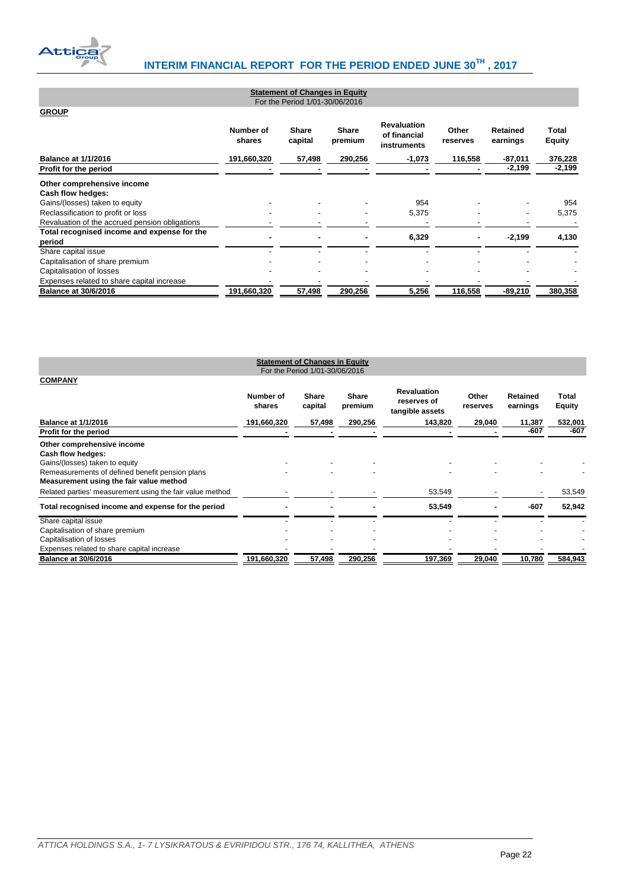

| Statement of Unanges in Equity<br>For the Period 1/01-30/06/2016 |                     |                         |                         |                                                   |                   |                             |                        |  |  |
|------------------------------------------------------------------|---------------------|-------------------------|-------------------------|---------------------------------------------------|-------------------|-----------------------------|------------------------|--|--|
| <b>GROUP</b>                                                     |                     |                         |                         |                                                   |                   |                             |                        |  |  |
|                                                                  | Number of<br>shares | <b>Share</b><br>capital | <b>Share</b><br>premium | <b>Revaluation</b><br>of financial<br>instruments | Other<br>reserves | <b>Retained</b><br>earnings | Total<br><b>Equity</b> |  |  |
| <b>Balance at 1/1/2016</b>                                       | 191,660,320         | 57,498                  | 290,256                 | $-1,073$                                          | 116,558           | $-87,011$                   | 376,228                |  |  |
| Profit for the period                                            |                     |                         |                         |                                                   |                   | $-2,199$                    | $-2,199$               |  |  |
| Other comprehensive income                                       |                     |                         |                         |                                                   |                   |                             |                        |  |  |
| Cash flow hedges:                                                |                     |                         |                         |                                                   |                   |                             |                        |  |  |
| Gains/(losses) taken to equity                                   |                     |                         |                         | 954                                               |                   |                             | 954                    |  |  |
| Reclassification to profit or loss                               |                     |                         |                         | 5,375                                             |                   |                             | 5,375                  |  |  |
| Revaluation of the accrued pension obligations                   |                     |                         |                         |                                                   |                   |                             |                        |  |  |
| Total recognised income and expense for the<br>period            |                     |                         |                         | 6,329                                             |                   | $-2,199$                    | 4,130                  |  |  |
| Share capital issue                                              |                     |                         |                         |                                                   |                   |                             |                        |  |  |
| Capitalisation of share premium                                  |                     |                         |                         |                                                   |                   |                             |                        |  |  |
| Capitalisation of losses                                         |                     |                         |                         |                                                   |                   |                             |                        |  |  |
| Expenses related to share capital increase                       |                     |                         |                         |                                                   |                   |                             |                        |  |  |
| <b>Balance at 30/6/2016</b>                                      | 191,660,320         | 57,498                  | 290,256                 | 5,256                                             | 116,558           | $-89,210$                   | 380,358                |  |  |

**Statement of Changes in Equity**

<span id="page-22-1"></span><span id="page-22-0"></span>

| <b>Statement of Changes in Equity</b><br>For the Period 1/01-30/06/2016                                                                                                         |                     |                  |                  |                                                      |                   |                             |                        |  |
|---------------------------------------------------------------------------------------------------------------------------------------------------------------------------------|---------------------|------------------|------------------|------------------------------------------------------|-------------------|-----------------------------|------------------------|--|
| <b>COMPANY</b>                                                                                                                                                                  | Number of<br>shares | Share<br>capital | Share<br>premium | <b>Revaluation</b><br>reserves of<br>tangible assets | Other<br>reserves | <b>Retained</b><br>earnings | Total<br><b>Equity</b> |  |
| <b>Balance at 1/1/2016</b>                                                                                                                                                      | 191,660,320         | 57,498           | 290,256          | 143,820                                              | 29,040            | 11,387                      | 532,001                |  |
| Profit for the period                                                                                                                                                           |                     |                  |                  |                                                      |                   | -607                        | $-607$                 |  |
| Other comprehensive income<br>Cash flow hedges:<br>Gains/(losses) taken to equity<br>Remeasurements of defined benefit pension plans<br>Measurement using the fair value method |                     |                  |                  |                                                      |                   |                             |                        |  |
| Related parties' measurement using the fair value method                                                                                                                        |                     |                  |                  | 53,549                                               |                   |                             | 53,549                 |  |
| Total recognised income and expense for the period                                                                                                                              |                     |                  |                  | 53,549                                               |                   | $-607$                      | 52,942                 |  |
| Share capital issue<br>Capitalisation of share premium<br>Capitalisation of losses<br>Expenses related to share capital increase                                                |                     |                  |                  |                                                      |                   |                             |                        |  |
| <b>Balance at 30/6/2016</b>                                                                                                                                                     | 191,660,320         | 57,498           | 290,256          | 197,369                                              | 29,040            | 10,780                      | 584,943                |  |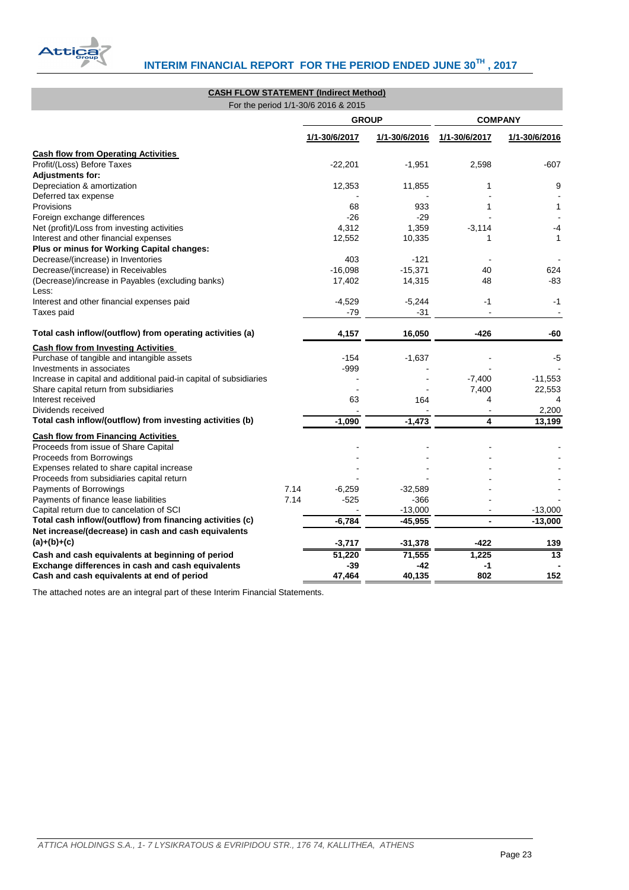

<span id="page-23-0"></span>

| <b>CASH FLOW STATEMENT (Indirect Method)</b>                       |      | For the period 1/1-30/6 2016 & 2015 |               |               |                |
|--------------------------------------------------------------------|------|-------------------------------------|---------------|---------------|----------------|
|                                                                    |      | <b>GROUP</b>                        |               |               | <b>COMPANY</b> |
|                                                                    |      | 1/1-30/6/2017                       | 1/1-30/6/2016 | 1/1-30/6/2017 | 1/1-30/6/2016  |
| <b>Cash flow from Operating Activities</b>                         |      |                                     |               |               |                |
| Profit/(Loss) Before Taxes                                         |      | $-22,201$                           | $-1,951$      | 2,598         | -607           |
| <b>Adjustments for:</b>                                            |      |                                     |               |               |                |
| Depreciation & amortization                                        |      | 12,353                              | 11,855        | 1             | 9              |
| Deferred tax expense                                               |      |                                     |               |               |                |
| Provisions                                                         |      | 68                                  | 933           | 1             | 1              |
| Foreign exchange differences                                       |      | -26                                 | $-29$         |               |                |
| Net (profit)/Loss from investing activities                        |      | 4,312                               | 1,359         | $-3,114$      | -4             |
| Interest and other financial expenses                              |      | 12,552                              | 10,335        | 1             | 1              |
| Plus or minus for Working Capital changes:                         |      |                                     |               |               |                |
| Decrease/(increase) in Inventories                                 |      | 403                                 | $-121$        |               |                |
| Decrease/(increase) in Receivables                                 |      | $-16,098$                           | $-15,371$     | 40            | 624            |
| (Decrease)/increase in Payables (excluding banks)                  |      | 17,402                              | 14,315        | 48            | $-83$          |
| Less:                                                              |      |                                     |               |               |                |
| Interest and other financial expenses paid                         |      | $-4,529$                            | $-5,244$      | -1            | -1             |
| Taxes paid                                                         |      | -79                                 | $-31$         |               |                |
| Total cash inflow/(outflow) from operating activities (a)          |      | 4,157                               | 16,050        | -426          | -60            |
| <b>Cash flow from Investing Activities</b>                         |      |                                     |               |               |                |
| Purchase of tangible and intangible assets                         |      | $-154$                              | $-1,637$      |               | -5             |
| Investments in associates                                          |      | -999                                |               |               |                |
| Increase in capital and additional paid-in capital of subsidiaries |      |                                     |               | $-7,400$      | $-11,553$      |
| Share capital return from subsidiaries                             |      |                                     |               | 7,400         | 22,553         |
| Interest received                                                  |      | 63                                  | 164           | 4             |                |
| Dividends received                                                 |      |                                     |               |               | 2,200          |
| Total cash inflow/(outflow) from investing activities (b)          |      | $-1,090$                            | $-1,473$      | 4             | 13,199         |
| <b>Cash flow from Financing Activities</b>                         |      |                                     |               |               |                |
| Proceeds from issue of Share Capital                               |      |                                     |               |               |                |
| Proceeds from Borrowings                                           |      |                                     |               |               |                |
| Expenses related to share capital increase                         |      |                                     |               |               |                |
| Proceeds from subsidiaries capital return                          |      |                                     |               |               |                |
| Payments of Borrowings                                             | 7.14 | $-6,259$                            | -32,589       |               |                |
| Payments of finance lease liabilities                              | 7.14 | $-525$                              | $-366$        |               |                |
| Capital return due to cancelation of SCI                           |      |                                     | $-13,000$     |               | $-13,000$      |
| Total cash inflow/(outflow) from financing activities (c)          |      | $-6,784$                            | $-45,955$     |               | $-13,000$      |
| Net increase/(decrease) in cash and cash equivalents               |      |                                     |               |               |                |
| $(a)+(b)+(c)$                                                      |      | $-3,717$                            | $-31,378$     | $-422$        | 139            |
| Cash and cash equivalents at beginning of period                   |      | 51,220                              | 71,555        | 1,225         | 13             |
| Exchange differences in cash and cash equivalents                  |      | -39                                 | -42           | -1            |                |
| Cash and cash equivalents at end of period                         |      | 47.464                              | 40.135        | 802           | 152            |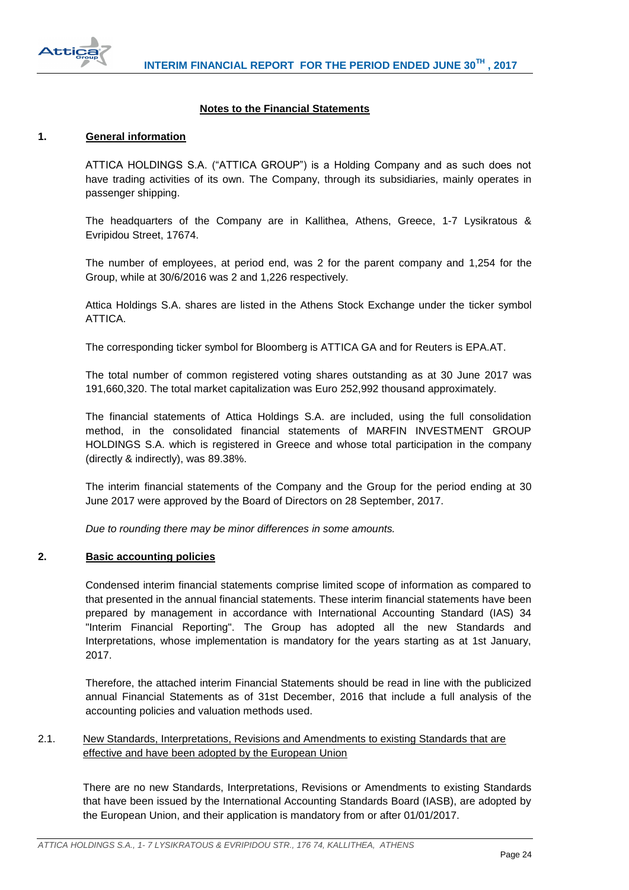

# **Notes to the Financial Statements**

### <span id="page-24-1"></span><span id="page-24-0"></span>**1. General information**

ATTICA HOLDINGS S.A. ("ATTICA GROUP") is a Holding Company and as such does not have trading activities of its own. The Company, through its subsidiaries, mainly operates in passenger shipping.

The headquarters of the Company are in Kallithea, Athens, Greece, 1-7 Lysikratous & Evripidou Street, 17674.

The number of employees, at period end, was 2 for the parent company and 1,254 for the Group, while at 30/6/2016 was 2 and 1,226 respectively.

Attica Holdings S.A. shares are listed in the Athens Stock Exchange under the ticker symbol ATTICA.

The corresponding ticker symbol for Bloomberg is ATTICA GA and for Reuters is EPA.AT.

The total number of common registered voting shares outstanding as at 30 June 2017 was 191,660,320. The total market capitalization was Euro 252,992 thousand approximately.

The financial statements of Attica Holdings S.A. are included, using the full consolidation method, in the consolidated financial statements of MARFIN INVESTMENT GROUP HOLDINGS S.A. which is registered in Greece and whose total participation in the company (directly & indirectly), was 89.38%.

The interim financial statements of the Company and the Group for the period ending at 30 June 2017 were approved by the Board of Directors on 28 September, 2017.

*Due to rounding there may be minor differences in some amounts.*

#### <span id="page-24-2"></span>**2. Basic accounting policies**

Condensed interim financial statements comprise limited scope of information as compared to that presented in the annual financial statements. These interim financial statements have been prepared by management in accordance with International Accounting Standard (IAS) 34 "Interim Financial Reporting". The Group has adopted all the new Standards and Interpretations, whose implementation is mandatory for the years starting as at 1st January, 2017.

Therefore, the attached interim Financial Statements should be read in line with the publicized annual Financial Statements as of 31st December, 2016 that include a full analysis of the accounting policies and valuation methods used.

# <span id="page-24-3"></span>2.1. New Standards, Interpretations, Revisions and Amendments to existing Standards that are effective and have been adopted by the European Union

There are no new Standards, Interpretations, Revisions or Amendments to existing Standards that have been issued by the International Accounting Standards Board (IASB), are adopted by the European Union, and their application is mandatory from or after 01/01/2017.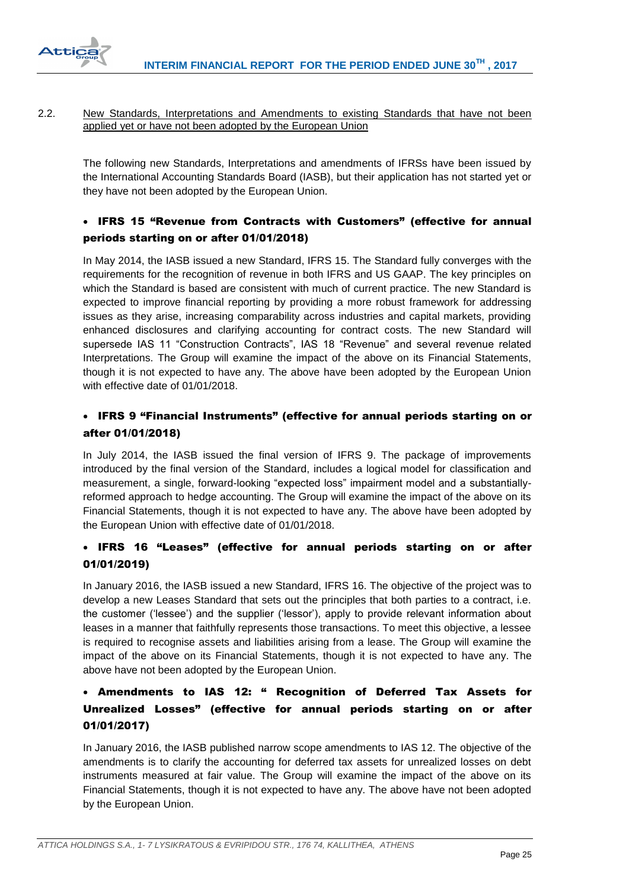

### <span id="page-25-0"></span>2.2. New Standards, Interpretations and Amendments to existing Standards that have not been applied yet or have not been adopted by the European Union

The following new Standards, Interpretations and amendments of IFRSs have been issued by the International Accounting Standards Board (IASB), but their application has not started yet or they have not been adopted by the European Union.

# IFRS 15 "Revenue from Contracts with Customers" (effective for annual periods starting on or after 01/01/2018)

In May 2014, the IASB issued a new Standard, IFRS 15. The Standard fully converges with the requirements for the recognition of revenue in both IFRS and US GAAP. The key principles on which the Standard is based are consistent with much of current practice. The new Standard is expected to improve financial reporting by providing a more robust framework for addressing issues as they arise, increasing comparability across industries and capital markets, providing enhanced disclosures and clarifying accounting for contract costs. The new Standard will supersede IAS 11 "Construction Contracts", IAS 18 "Revenue" and several revenue related Interpretations. The Group will examine the impact of the above on its Financial Statements, though it is not expected to have any. The above have been adopted by the European Union with effective date of 01/01/2018.

# IFRS 9 "Financial Instruments" (effective for annual periods starting on or after 01/01/2018)

In July 2014, the IASB issued the final version of IFRS 9. The package of improvements introduced by the final version of the Standard, includes a logical model for classification and measurement, a single, forward-looking "expected loss" impairment model and a substantiallyreformed approach to hedge accounting. The Group will examine the impact of the above on its Financial Statements, though it is not expected to have any. The above have been adopted by the European Union with effective date of 01/01/2018.

# IFRS 16 "Leases" (effective for annual periods starting on or after 01/01/2019)

In January 2016, the IASB issued a new Standard, IFRS 16. The objective of the project was to develop a new Leases Standard that sets out the principles that both parties to a contract, i.e. the customer ('lessee') and the supplier ('lessor'), apply to provide relevant information about leases in a manner that faithfully represents those transactions. To meet this objective, a lessee is required to recognise assets and liabilities arising from a lease. The Group will examine the impact of the above on its Financial Statements, though it is not expected to have any. The above have not been adopted by the European Union.

# Amendments to IAS 12: " Recognition of Deferred Tax Assets for Unrealized Losses" (effective for annual periods starting on or after 01/01/2017)

In January 2016, the IASB published narrow scope amendments to IAS 12. The objective of the amendments is to clarify the accounting for deferred tax assets for unrealized losses on debt instruments measured at fair value. The Group will examine the impact of the above on its Financial Statements, though it is not expected to have any. The above have not been adopted by the European Union.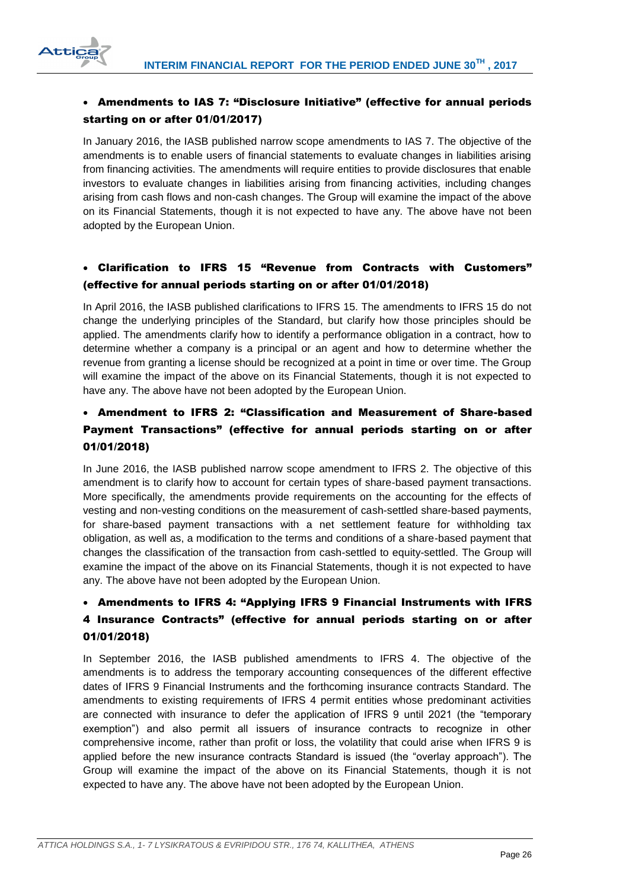

# Amendments to IAS 7: "Disclosure Initiative" (effective for annual periods starting on or after 01/01/2017)

In January 2016, the IASB published narrow scope amendments to IAS 7. The objective of the amendments is to enable users of financial statements to evaluate changes in liabilities arising from financing activities. The amendments will require entities to provide disclosures that enable investors to evaluate changes in liabilities arising from financing activities, including changes arising from cash flows and non-cash changes. The Group will examine the impact of the above on its Financial Statements, though it is not expected to have any. The above have not been adopted by the European Union.

# Clarification to IFRS 15 "Revenue from Contracts with Customers" (effective for annual periods starting on or after 01/01/2018)

In April 2016, the IASB published clarifications to IFRS 15. The amendments to IFRS 15 do not change the underlying principles of the Standard, but clarify how those principles should be applied. The amendments clarify how to identify a performance obligation in a contract, how to determine whether a company is a principal or an agent and how to determine whether the revenue from granting a license should be recognized at a point in time or over time. The Group will examine the impact of the above on its Financial Statements, though it is not expected to have any. The above have not been adopted by the European Union.

# Amendment to IFRS 2: "Classification and Measurement of Share-based Payment Transactions" (effective for annual periods starting on or after 01/01/2018)

In June 2016, the IASB published narrow scope amendment to IFRS 2. The objective of this amendment is to clarify how to account for certain types of share-based payment transactions. More specifically, the amendments provide requirements on the accounting for the effects of vesting and non-vesting conditions on the measurement of cash-settled share-based payments, for share-based payment transactions with a net settlement feature for withholding tax obligation, as well as, a modification to the terms and conditions of a share-based payment that changes the classification of the transaction from cash-settled to equity-settled. The Group will examine the impact of the above on its Financial Statements, though it is not expected to have any. The above have not been adopted by the European Union.

# Amendments to IFRS 4: "Applying IFRS 9 Financial Instruments with IFRS 4 Insurance Contracts" (effective for annual periods starting on or after 01/01/2018)

In September 2016, the IASB published amendments to IFRS 4. The objective of the amendments is to address the temporary accounting consequences of the different effective dates of IFRS 9 Financial Instruments and the forthcoming insurance contracts Standard. The amendments to existing requirements of IFRS 4 permit entities whose predominant activities are connected with insurance to defer the application of IFRS 9 until 2021 (the "temporary exemption") and also permit all issuers of insurance contracts to recognize in other comprehensive income, rather than profit or loss, the volatility that could arise when IFRS 9 is applied before the new insurance contracts Standard is issued (the "overlay approach"). The Group will examine the impact of the above on its Financial Statements, though it is not expected to have any. The above have not been adopted by the European Union.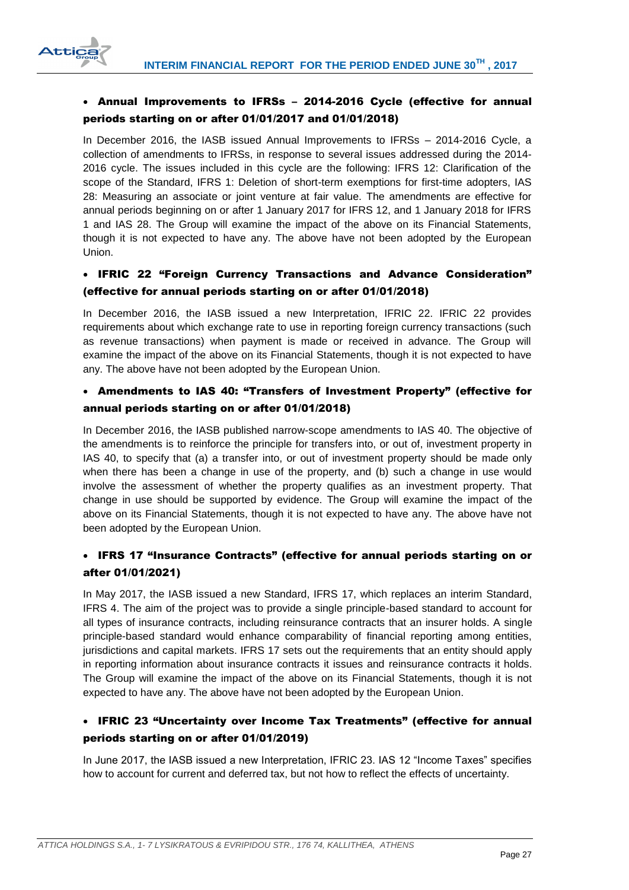

# Annual Improvements to IFRSs – 2014-2016 Cycle (effective for annual periods starting on or after 01/01/2017 and 01/01/2018)

In December 2016, the IASB issued Annual Improvements to IFRSs – 2014-2016 Cycle, a collection of amendments to IFRSs, in response to several issues addressed during the 2014- 2016 cycle. The issues included in this cycle are the following: IFRS 12: Clarification of the scope of the Standard, IFRS 1: Deletion of short-term exemptions for first-time adopters, IAS 28: Measuring an associate or joint venture at fair value. The amendments are effective for annual periods beginning on or after 1 January 2017 for IFRS 12, and 1 January 2018 for IFRS 1 and IAS 28. The Group will examine the impact of the above on its Financial Statements, though it is not expected to have any. The above have not been adopted by the European Union.

# IFRIC 22 "Foreign Currency Transactions and Advance Consideration" (effective for annual periods starting on or after 01/01/2018)

In December 2016, the IASB issued a new Interpretation, IFRIC 22. IFRIC 22 provides requirements about which exchange rate to use in reporting foreign currency transactions (such as revenue transactions) when payment is made or received in advance. The Group will examine the impact of the above on its Financial Statements, though it is not expected to have any. The above have not been adopted by the European Union.

# Amendments to IAS 40: "Transfers of Investment Property" (effective for annual periods starting on or after 01/01/2018)

In December 2016, the IASB published narrow-scope amendments to IAS 40. The objective of the amendments is to reinforce the principle for transfers into, or out of, investment property in IAS 40, to specify that (a) a transfer into, or out of investment property should be made only when there has been a change in use of the property, and (b) such a change in use would involve the assessment of whether the property qualifies as an investment property. That change in use should be supported by evidence. The Group will examine the impact of the above on its Financial Statements, though it is not expected to have any. The above have not been adopted by the European Union.

# IFRS 17 "Insurance Contracts" (effective for annual periods starting on or after 01/01/2021)

In May 2017, the IASB issued a new Standard, IFRS 17, which replaces an interim Standard, IFRS 4. The aim of the project was to provide a single principle-based standard to account for all types of insurance contracts, including reinsurance contracts that an insurer holds. A single principle-based standard would enhance comparability of financial reporting among entities, jurisdictions and capital markets. IFRS 17 sets out the requirements that an entity should apply in reporting information about insurance contracts it issues and reinsurance contracts it holds. The Group will examine the impact of the above on its Financial Statements, though it is not expected to have any. The above have not been adopted by the European Union.

# IFRIC 23 "Uncertainty over Income Tax Treatments" (effective for annual periods starting on or after 01/01/2019)

In June 2017, the IASB issued a new Interpretation, IFRIC 23. IAS 12 "Income Taxes" specifies how to account for current and deferred tax, but not how to reflect the effects of uncertainty.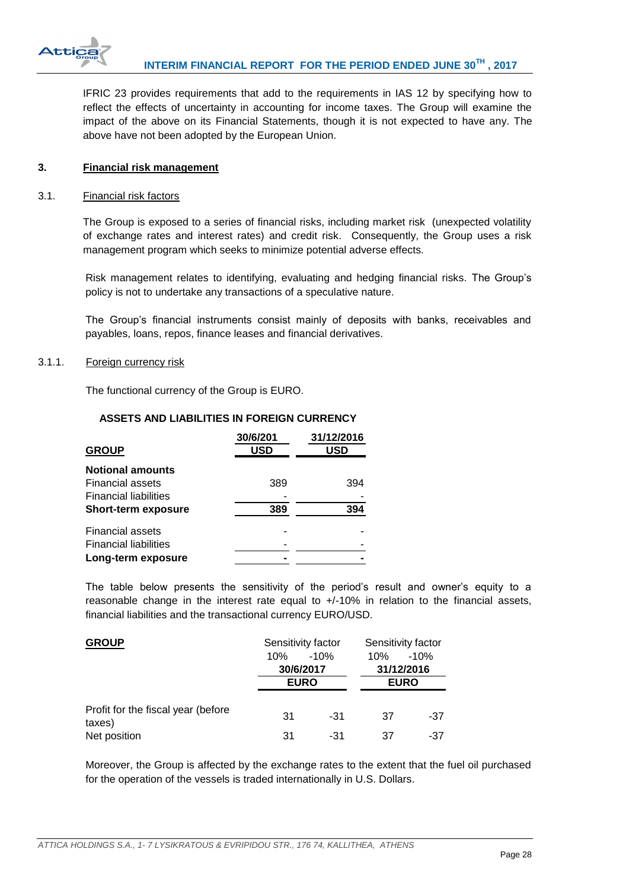

IFRIC 23 provides requirements that add to the requirements in IAS 12 by specifying how to reflect the effects of uncertainty in accounting for income taxes. The Group will examine the impact of the above on its Financial Statements, though it is not expected to have any. The above have not been adopted by the European Union.

### <span id="page-28-0"></span>**3. Financial risk management**

#### <span id="page-28-1"></span>3.1. Financial risk factors

The Group is exposed to a series of financial risks, including market risk (unexpected volatility of exchange rates and interest rates) and credit risk. Consequently, the Group uses a risk management program which seeks to minimize potential adverse effects.

Risk management relates to identifying, evaluating and hedging financial risks. The Group's policy is not to undertake any transactions of a speculative nature.

The Group's financial instruments consist mainly of deposits with banks, receivables and payables, loans, repos, finance leases and financial derivatives.

#### <span id="page-28-2"></span>3.1.1. Foreign currency risk

The functional currency of the Group is EURO.

|                              | 30/6/201   | 31/12/2016 |
|------------------------------|------------|------------|
| <b>GROUP</b>                 | <b>USD</b> | USD        |
| <b>Notional amounts</b>      |            |            |
| <b>Financial assets</b>      | 389        | 394        |
| <b>Financial liabilities</b> |            |            |
| <b>Short-term exposure</b>   | 389        | 394        |
| <b>Financial assets</b>      |            |            |
| <b>Financial liabilities</b> |            |            |
| Long-term exposure           |            |            |

### **ASSETS AND LIABILITIES IN FOREIGN CURRENCY**

The table below presents the sensitivity of the period's result and owner's equity to a reasonable change in the interest rate equal to +/-10% in relation to the financial assets, financial liabilities and the transactional currency EURO/USD.

| <b>GROUP</b>                                 | Sensitivity factor |        | Sensitivity factor |             |
|----------------------------------------------|--------------------|--------|--------------------|-------------|
|                                              | 10%                | $-10%$ | 10%                | $-10%$      |
|                                              | 30/6/2017          |        | 31/12/2016         |             |
|                                              | <b>EURO</b>        |        |                    | <b>EURO</b> |
| Profit for the fiscal year (before<br>taxes) | 31                 | $-31$  | 37                 | -37         |
| Net position                                 | 31                 | -31    | 37                 | -37         |

Moreover, the Group is affected by the exchange rates to the extent that the fuel oil purchased for the operation of the vessels is traded internationally in U.S. Dollars.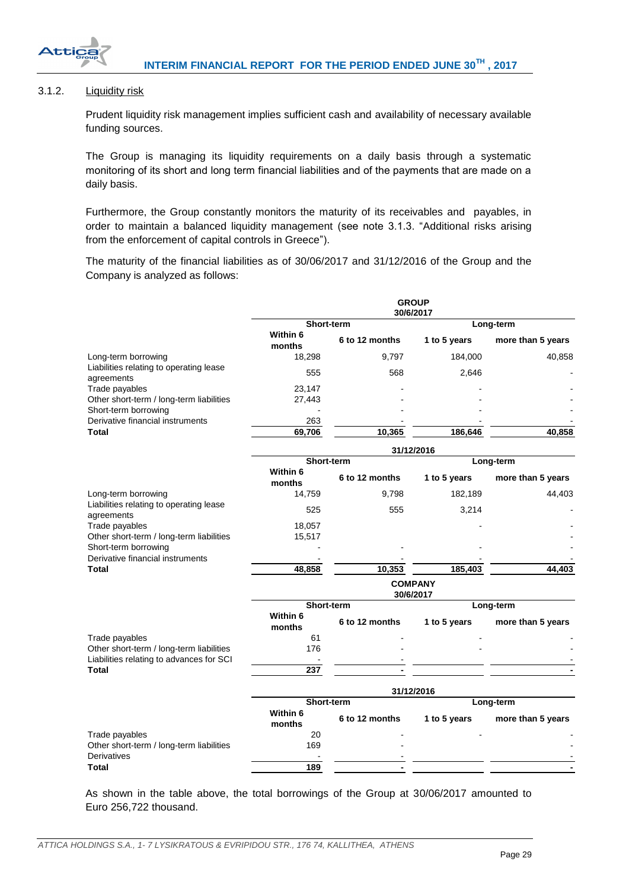

# <span id="page-29-0"></span>3.1.2. Liquidity risk

Prudent liquidity risk management implies sufficient cash and availability of necessary available funding sources.

The Group is managing its liquidity requirements on a daily basis through a systematic monitoring of its short and long term financial liabilities and of the payments that are made on a daily basis.

Furthermore, the Group constantly monitors the maturity of its receivables and payables, in order to maintain a balanced liquidity management (see note 3.1.3. "Additional risks arising from the enforcement of capital controls in Greece").

The maturity of the financial liabilities as of 30/06/2017 and 31/12/2016 of the Group and the Company is analyzed as follows:

|                                                                                      | <b>GROUP</b><br>30/6/2017   |                   |              |                   |  |
|--------------------------------------------------------------------------------------|-----------------------------|-------------------|--------------|-------------------|--|
|                                                                                      | <b>Short-term</b>           |                   |              | Long-term         |  |
|                                                                                      | Within 6<br>months          | 6 to 12 months    | 1 to 5 years | more than 5 years |  |
| Long-term borrowing                                                                  | 18,298                      | 9,797             | 184,000      | 40,858            |  |
| Liabilities relating to operating lease<br>agreements                                | 555                         | 568               | 2,646        |                   |  |
| Trade payables                                                                       | 23,147                      |                   |              |                   |  |
| Other short-term / long-term liabilities                                             | 27,443                      |                   |              |                   |  |
| Short-term borrowing<br>Derivative financial instruments                             | 263                         |                   |              |                   |  |
| Total                                                                                | 69,706                      | 10,365            | 186,646      | 40,858            |  |
|                                                                                      |                             |                   | 31/12/2016   |                   |  |
|                                                                                      |                             | <b>Short-term</b> |              | Long-term         |  |
|                                                                                      | Within 6<br>months          | 6 to 12 months    | 1 to 5 years | more than 5 years |  |
| Long-term borrowing                                                                  | 14,759                      | 9,798             | 182,189      | 44,403            |  |
| Liabilities relating to operating lease<br>agreements                                | 525                         | 555               | 3,214        |                   |  |
| Trade payables                                                                       | 18,057                      |                   |              |                   |  |
| Other short-term / long-term liabilities<br>Short-term borrowing                     | 15,517                      |                   |              |                   |  |
| Derivative financial instruments                                                     |                             |                   |              |                   |  |
| Total                                                                                | 48,858                      | 10,353            | 185,403      | 44,403            |  |
|                                                                                      | <b>COMPANY</b><br>30/6/2017 |                   |              |                   |  |
|                                                                                      | Short-term                  |                   |              | Long-term         |  |
|                                                                                      | Within 6<br>months          | 6 to 12 months    | 1 to 5 years | more than 5 years |  |
| Trade payables                                                                       | 61                          |                   |              |                   |  |
| Other short-term / long-term liabilities<br>Liabilities relating to advances for SCI | 176                         |                   |              |                   |  |
| <b>Total</b>                                                                         | 237                         |                   |              |                   |  |
|                                                                                      | 31/12/2016                  |                   |              |                   |  |
|                                                                                      | Short-term                  |                   |              | Long-term         |  |
|                                                                                      | Within 6<br>months          | 6 to 12 months    | 1 to 5 years | more than 5 years |  |
| Trade payables                                                                       | 20                          |                   |              |                   |  |
| Other short-term / long-term liabilities<br>Derivatives                              | 169                         |                   |              |                   |  |
| Total                                                                                | 189                         |                   |              |                   |  |

As shown in the table above, the total borrowings of the Group at 30/06/2017 amounted to Euro 256,722 thousand.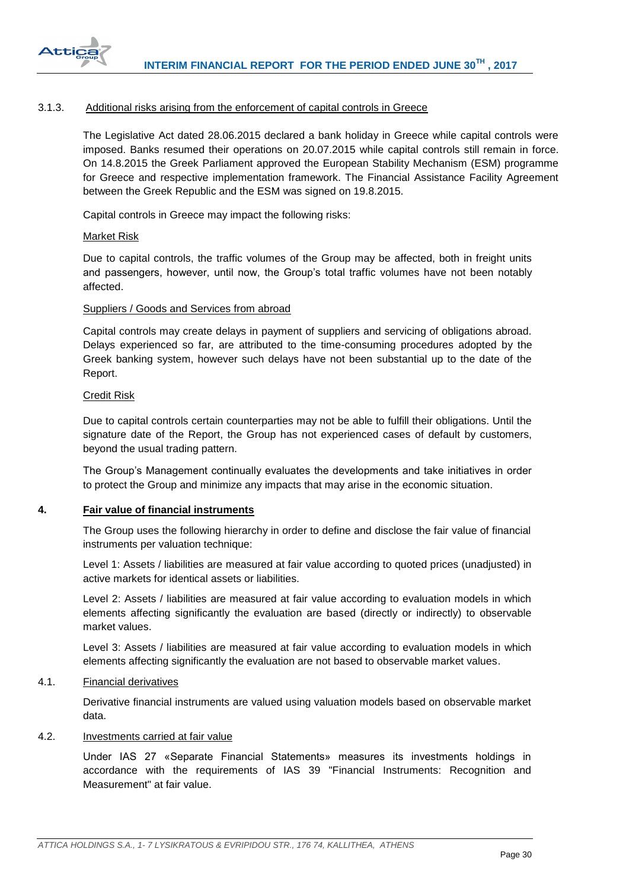

#### <span id="page-30-0"></span>3.1.3. Additional risks arising from the enforcement of capital controls in Greece

The Legislative Act dated 28.06.2015 declared a bank holiday in Greece while capital controls were imposed. Banks resumed their operations on 20.07.2015 while capital controls still remain in force. On 14.8.2015 the Greek Parliament approved the European Stability Mechanism (ESM) programme for Greece and respective implementation framework. The Financial Assistance Facility Agreement between the Greek Republic and the ESM was signed on 19.8.2015.

Capital controls in Greece may impact the following risks:

#### Market Risk

Due to capital controls, the traffic volumes of the Group may be affected, both in freight units and passengers, however, until now, the Group's total traffic volumes have not been notably affected.

#### Suppliers / Goods and Services from abroad

Capital controls may create delays in payment of suppliers and servicing of obligations abroad. Delays experienced so far, are attributed to the time-consuming procedures adopted by the Greek banking system, however such delays have not been substantial up to the date of the Report.

#### Credit Risk

Due to capital controls certain counterparties may not be able to fulfill their obligations. Until the signature date of the Report, the Group has not experienced cases of default by customers, beyond the usual trading pattern.

The Group's Management continually evaluates the developments and take initiatives in order to protect the Group and minimize any impacts that may arise in the economic situation.

#### <span id="page-30-1"></span>**4. Fair value of financial instruments**

The Group uses the following hierarchy in order to define and disclose the fair value of financial instruments per valuation technique:

Level 1: Assets / liabilities are measured at fair value according to quoted prices (unadjusted) in active markets for identical assets or liabilities.

Level 2: Assets / liabilities are measured at fair value according to evaluation models in which elements affecting significantly the evaluation are based (directly or indirectly) to observable market values.

Level 3: Assets / liabilities are measured at fair value according to evaluation models in which elements affecting significantly the evaluation are not based to observable market values.

#### <span id="page-30-2"></span>4.1. Financial derivatives

Derivative financial instruments are valued using valuation models based on observable market data.

#### <span id="page-30-3"></span>4.2. Investments carried at fair value

Under IAS 27 «Separate Financial Statements» measures its investments holdings in accordance with the requirements of IAS 39 "Financial Instruments: Recognition and Measurement" at fair value.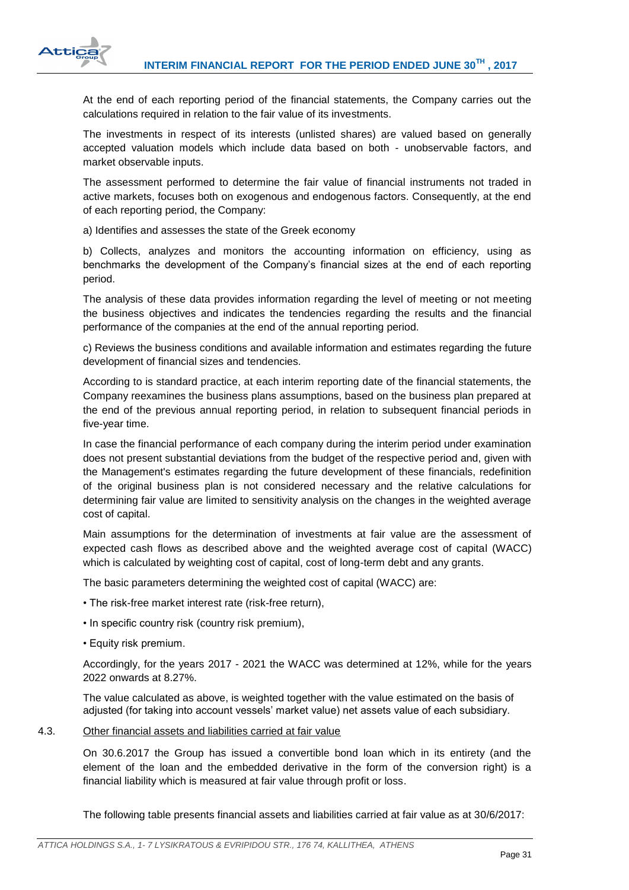

At the end of each reporting period of the financial statements, the Company carries out the calculations required in relation to the fair value of its investments.

The investments in respect of its interests (unlisted shares) are valued based on generally accepted valuation models which include data based on both - unobservable factors, and market observable inputs.

The assessment performed to determine the fair value of financial instruments not traded in active markets, focuses both on exogenous and endogenous factors. Consequently, at the end of each reporting period, the Company:

a) Identifies and assesses the state of the Greek economy

b) Collects, analyzes and monitors the accounting information on efficiency, using as benchmarks the development of the Company's financial sizes at the end of each reporting period.

The analysis of these data provides information regarding the level of meeting or not meeting the business objectives and indicates the tendencies regarding the results and the financial performance of the companies at the end of the annual reporting period.

c) Reviews the business conditions and available information and estimates regarding the future development of financial sizes and tendencies.

According to is standard practice, at each interim reporting date of the financial statements, the Company reexamines the business plans assumptions, based on the business plan prepared at the end of the previous annual reporting period, in relation to subsequent financial periods in five-year time.

In case the financial performance of each company during the interim period under examination does not present substantial deviations from the budget of the respective period and, given with the Management's estimates regarding the future development of these financials, redefinition of the original business plan is not considered necessary and the relative calculations for determining fair value are limited to sensitivity analysis on the changes in the weighted average cost of capital.

Main assumptions for the determination of investments at fair value are the assessment of expected cash flows as described above and the weighted average cost of capital (WACC) which is calculated by weighting cost of capital, cost of long-term debt and any grants.

The basic parameters determining the weighted cost of capital (WACC) are:

- The risk-free market interest rate (risk-free return),
- In specific country risk (country risk premium),
- Equity risk premium.

Accordingly, for the years 2017 - 2021 the WACC was determined at 12%, while for the years 2022 onwards at 8.27%.

The value calculated as above, is weighted together with the value estimated on the basis of adjusted (for taking into account vessels' market value) net assets value of each subsidiary.

### <span id="page-31-0"></span>4.3. Other financial assets and liabilities carried at fair value

On 30.6.2017 the Group has issued a convertible bond loan which in its entirety (and the element of the loan and the embedded derivative in the form of the conversion right) is a financial liability which is measured at fair value through profit or loss.

The following table presents financial assets and liabilities carried at fair value as at 30/6/2017: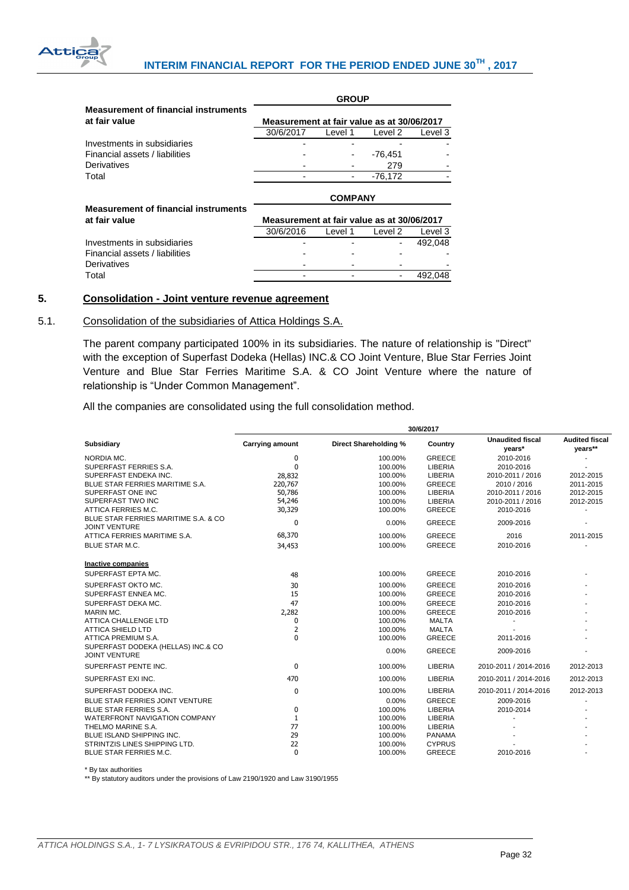

|                                             | <b>GROUP</b>                               |         |           |         |  |
|---------------------------------------------|--------------------------------------------|---------|-----------|---------|--|
| <b>Measurement of financial instruments</b> |                                            |         |           |         |  |
| at fair value                               | Measurement at fair value as at 30/06/2017 |         |           |         |  |
|                                             | 30/6/2017                                  | Level 1 | Level 2   | Level 3 |  |
| Investments in subsidiaries                 |                                            |         |           |         |  |
| Financial assets / liabilities              |                                            |         | $-76,451$ |         |  |
| Derivatives                                 |                                            |         | 279       |         |  |
| Total                                       |                                            |         | $-76.172$ |         |  |
|                                             | <b>COMPANY</b>                             |         |           |         |  |
|                                             |                                            |         |           |         |  |
| <b>Measurement of financial instruments</b> |                                            |         |           |         |  |
| at fair value                               | Measurement at fair value as at 30/06/2017 |         |           |         |  |
|                                             | 30/6/2016                                  | Level 1 | Level 2   | Level 3 |  |
| Investments in subsidiaries                 |                                            |         |           | 492.048 |  |
| Financial assets / liabilities              |                                            |         |           |         |  |
| Derivatives                                 |                                            |         |           |         |  |

# <span id="page-32-0"></span>**5. Consolidation - Joint venture revenue agreement**

#### <span id="page-32-1"></span>5.1. Consolidation of the subsidiaries of Attica Holdings S.A.

The parent company participated 100% in its subsidiaries. The nature of relationship is "Direct" with the exception of Superfast Dodeka (Hellas) INC.& CO Joint Venture, Blue Star Ferries Joint Venture and Blue Star Ferries Maritime S.A. & CO Joint Venture where the nature of relationship is "Under Common Management".

All the companies are consolidated using the full consolidation method.

|                                                               | 30/6/2017              |                       |               |                                   |                                  |
|---------------------------------------------------------------|------------------------|-----------------------|---------------|-----------------------------------|----------------------------------|
| Subsidiary                                                    | <b>Carrying amount</b> | Direct Shareholding % | Country       | <b>Unaudited fiscal</b><br>years* | <b>Audited fiscal</b><br>years** |
| NORDIA MC.                                                    | 0                      | 100.00%               | <b>GREECE</b> | 2010-2016                         |                                  |
| SUPERFAST FERRIES S.A.                                        | $\mathbf{0}$           | 100.00%               | LIBERIA       | 2010-2016                         |                                  |
| SUPERFAST ENDEKA INC.                                         | 28,832                 | 100.00%               | LIBERIA       | 2010-2011 / 2016                  | 2012-2015                        |
| BLUE STAR FERRIES MARITIME S.A.                               | 220,767                | 100.00%               | <b>GREECE</b> | 2010 / 2016                       | 2011-2015                        |
| SUPERFAST ONE INC                                             | 50,786                 | 100.00%               | LIBERIA       | 2010-2011 / 2016                  | 2012-2015                        |
| SUPERFAST TWO INC                                             | 54,246                 | 100.00%               | LIBERIA       | 2010-2011 / 2016                  | 2012-2015                        |
| ATTICA FERRIES M.C.                                           | 30,329                 | 100.00%               | <b>GREECE</b> | 2010-2016                         |                                  |
| BLUE STAR FERRIES MARITIME S.A. & CO.<br><b>JOINT VENTURE</b> | 0                      | 0.00%                 | <b>GREECE</b> | 2009-2016                         |                                  |
| ATTICA FERRIES MARITIME S.A.                                  | 68,370                 | 100.00%               | <b>GREECE</b> | 2016                              | 2011-2015                        |
| <b>BLUE STAR M.C.</b>                                         | 34,453                 | 100.00%               | <b>GREECE</b> | 2010-2016                         |                                  |
| Inactive companies                                            |                        |                       |               |                                   |                                  |
| SUPERFAST EPTA MC.                                            | 48                     | 100.00%               | <b>GREECE</b> | 2010-2016                         |                                  |
| SUPERFAST OKTO MC.                                            | 30                     | 100.00%               | <b>GREECE</b> | 2010-2016                         |                                  |
| SUPERFAST ENNEA MC.                                           | 15                     | 100.00%               | <b>GREECE</b> | 2010-2016                         |                                  |
| SUPERFAST DEKA MC.                                            | 47                     | 100.00%               | <b>GREECE</b> | 2010-2016                         |                                  |
| MARIN MC.                                                     | 2,282                  | 100.00%               | <b>GREECE</b> | 2010-2016                         |                                  |
| <b>ATTICA CHALLENGE LTD</b>                                   | 0                      | 100.00%               | <b>MALTA</b>  |                                   |                                  |
| <b>ATTICA SHIELD LTD</b>                                      | 2                      | 100.00%               | <b>MALTA</b>  |                                   |                                  |
| ATTICA PREMIUM S.A.                                           | $\mathbf{0}$           | 100.00%               | <b>GREECE</b> | 2011-2016                         |                                  |
| SUPERFAST DODEKA (HELLAS) INC.& CO<br><b>JOINT VENTURE</b>    |                        | 0.00%                 | <b>GREECE</b> | 2009-2016                         |                                  |
| SUPERFAST PENTE INC.                                          | 0                      | 100.00%               | LIBERIA       | 2010-2011 / 2014-2016             | 2012-2013                        |
| SUPERFAST EXI INC.                                            | 470                    | 100.00%               | LIBERIA       | 2010-2011 / 2014-2016             | 2012-2013                        |
| SUPERFAST DODEKA INC.                                         | 0                      | 100.00%               | LIBERIA       | 2010-2011 / 2014-2016             | 2012-2013                        |
| BLUE STAR FERRIES JOINT VENTURE                               |                        | 0.00%                 | <b>GREECE</b> | 2009-2016                         |                                  |
| <b>BLUE STAR FERRIES S.A.</b>                                 | 0                      | 100.00%               | LIBERIA       | 2010-2014                         |                                  |
| WATERFRONT NAVIGATION COMPANY                                 | 1                      | 100.00%               | LIBERIA       |                                   |                                  |
| THELMO MARINE S.A.                                            | 77                     | 100.00%               | LIBERIA       |                                   |                                  |
| BLUE ISLAND SHIPPING INC.                                     | 29                     | 100.00%               | <b>PANAMA</b> |                                   |                                  |
| STRINTZIS LINES SHIPPING LTD.                                 | 22                     | 100.00%               | <b>CYPRUS</b> |                                   |                                  |
| BLUE STAR FERRIES M.C.                                        | $\mathbf{0}$           | 100.00%               | <b>GREECE</b> | 2010-2016                         |                                  |

**30/6/2017**

\* By tax authorities

\*\* By statutory auditors under the provisions of Law 2190/1920 and Law 3190/1955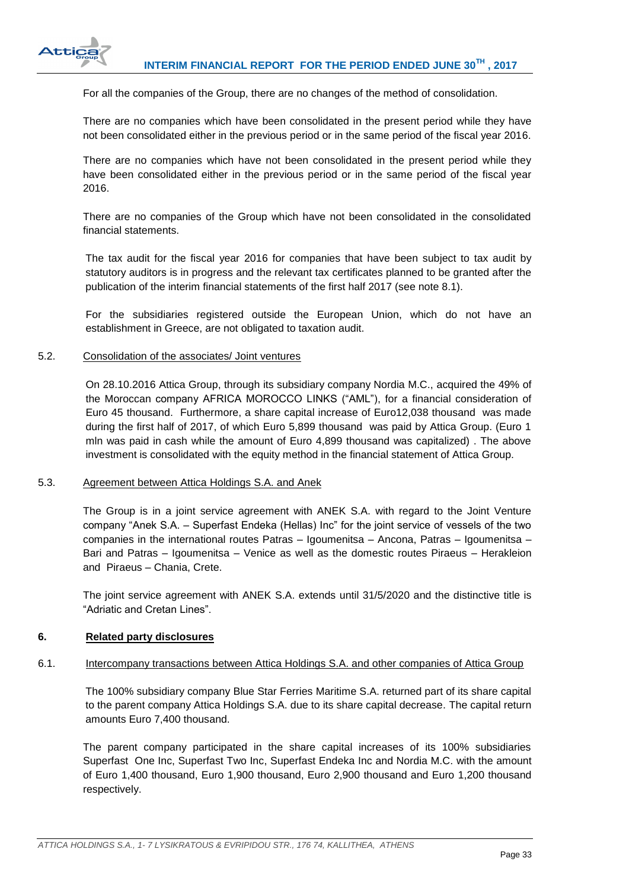

For all the companies of the Group, there are no changes of the method of consolidation.

There are no companies which have been consolidated in the present period while they have not been consolidated either in the previous period or in the same period of the fiscal year 2016.

There are no companies which have not been consolidated in the present period while they have been consolidated either in the previous period or in the same period of the fiscal year 2016.

There are no companies of the Group which have not been consolidated in the consolidated financial statements.

The tax audit for the fiscal year 2016 for companies that have been subject to tax audit by statutory auditors is in progress and the relevant tax certificates planned to be granted after the publication of the interim financial statements of the first half 2017 (see note 8.1).

For the subsidiaries registered outside the European Union, which do not have an establishment in Greece, are not obligated to taxation audit.

#### <span id="page-33-0"></span>5.2. Consolidation of the associates/ Joint ventures

On 28.10.2016 Attica Group, through its subsidiary company Nordia M.C., acquired the 49% of the Moroccan company AFRICA MOROCCO LINKS ("AML"), for a financial consideration of Euro 45 thousand. Furthermore, a share capital increase of Euro12,038 thousand was made during the first half of 2017, of which Euro 5,899 thousand was paid by Attica Group. (Euro 1 mln was paid in cash while the amount of Euro 4,899 thousand was capitalized) . The above investment is consolidated with the equity method in the financial statement of Attica Group.

#### <span id="page-33-1"></span>5.3. Agreement between Attica Holdings S.A. and Anek

The Group is in a joint service agreement with ANEK S.A. with regard to the Joint Venture company "Anek S.A. – Superfast Endeka (Hellas) Inc" for the joint service of vessels of the two companies in the international routes Patras – Igoumenitsa – Ancona, Patras – Igoumenitsa – Bari and Patras – Igoumenitsa – Venice as well as the domestic routes Piraeus – Herakleion and Piraeus – Chania, Crete.

The joint service agreement with ANEK S.A. extends until 31/5/2020 and the distinctive title is "Adriatic and Cretan Lines".

#### <span id="page-33-2"></span>**6. Related party disclosures**

#### <span id="page-33-3"></span>6.1. Intercompany transactions between Attica Holdings S.A. and other companies of Attica Group

The 100% subsidiary company Blue Star Ferries Maritime S.A. returned part of its share capital to the parent company Attica Holdings S.A. due to its share capital decrease. The capital return amounts Euro 7,400 thousand.

The parent company participated in the share capital increases of its 100% subsidiaries Superfast One Inc, Superfast Two Inc, Superfast Endeka Inc and Nordia M.C. with the amount of Euro 1,400 thousand, Euro 1,900 thousand, Euro 2,900 thousand and Euro 1,200 thousand respectively.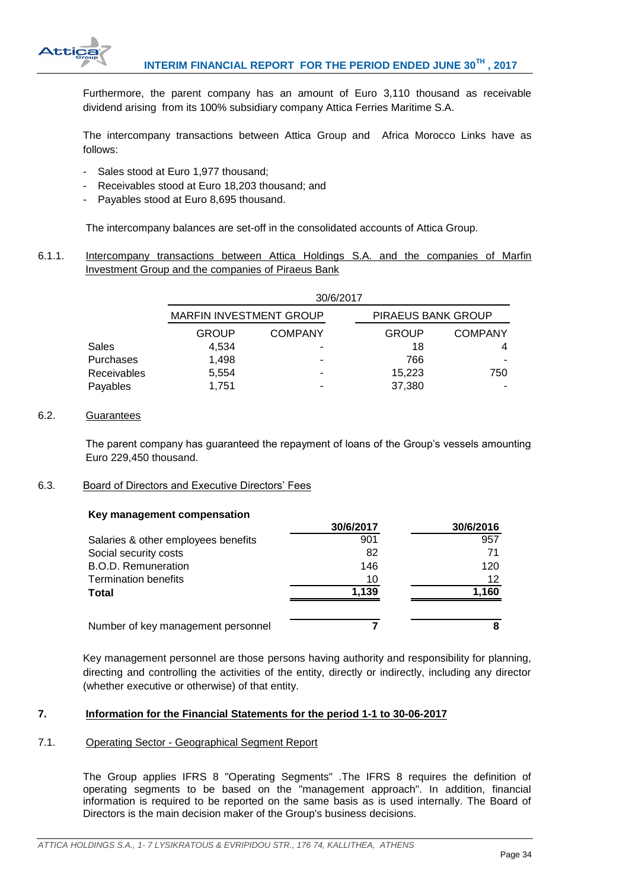

Furthermore, the parent company has an amount of Euro 3,110 thousand as receivable dividend arising from its 100% subsidiary company Attica Ferries Maritime S.A.

The intercompany transactions between Attica Group and Africa Morocco Links have as follows:

- Sales stood at Euro 1,977 thousand;
- Receivables stood at Euro 18,203 thousand; and
- Payables stood at Euro 8,695 thousand.

The intercompany balances are set-off in the consolidated accounts of Attica Group.

<span id="page-34-0"></span>6.1.1. Intercompany transactions between Attica Holdings S.A. and the companies of Marfin Investment Group and the companies of Piraeus Bank

|                    | 30/6/2017                      |                |                    |                |  |
|--------------------|--------------------------------|----------------|--------------------|----------------|--|
|                    | <b>MARFIN INVESTMENT GROUP</b> |                | PIRAEUS BANK GROUP |                |  |
|                    | <b>GROUP</b>                   | <b>COMPANY</b> | <b>GROUP</b>       | <b>COMPANY</b> |  |
| Sales              | 4.534                          |                | 18                 |                |  |
| Purchases          | 1.498                          |                | 766                |                |  |
| <b>Receivables</b> | 5,554                          |                | 15,223             | 750            |  |
| Payables           | 1.751                          |                | 37,380             |                |  |

#### <span id="page-34-1"></span>6.2. Guarantees

The parent company has guaranteed the repayment of loans of the Group's vessels amounting Euro 229,450 thousand.

#### <span id="page-34-2"></span>6.3. Board of Directors and Executive Directors' Fees

#### **Key management compensation**

|                                     | 30/6/2017 | 30/6/2016 |
|-------------------------------------|-----------|-----------|
| Salaries & other employees benefits | 901       | 957       |
| Social security costs               | 82        |           |
| <b>B.O.D. Remuneration</b>          | 146       | 120       |
| <b>Termination benefits</b>         | 10        | 12        |
| <b>Total</b>                        | 1.139     | 1,160     |
| Number of key management personnel  |           |           |

Key management personnel are those persons having authority and responsibility for planning, directing and controlling the activities of the entity, directly or indirectly, including any director (whether executive or otherwise) of that entity.

### <span id="page-34-3"></span>**7. Information for the Financial Statements for the period 1-1 to 30-06-2017**

#### <span id="page-34-4"></span>7.1. Operating Sector - Geographical Segment Report

The Group applies IFRS 8 "Operating Segments" .The IFRS 8 requires the definition of operating segments to be based on the "management approach". In addition, financial information is required to be reported on the same basis as is used internally. The Board of Directors is the main decision maker of the Group's business decisions.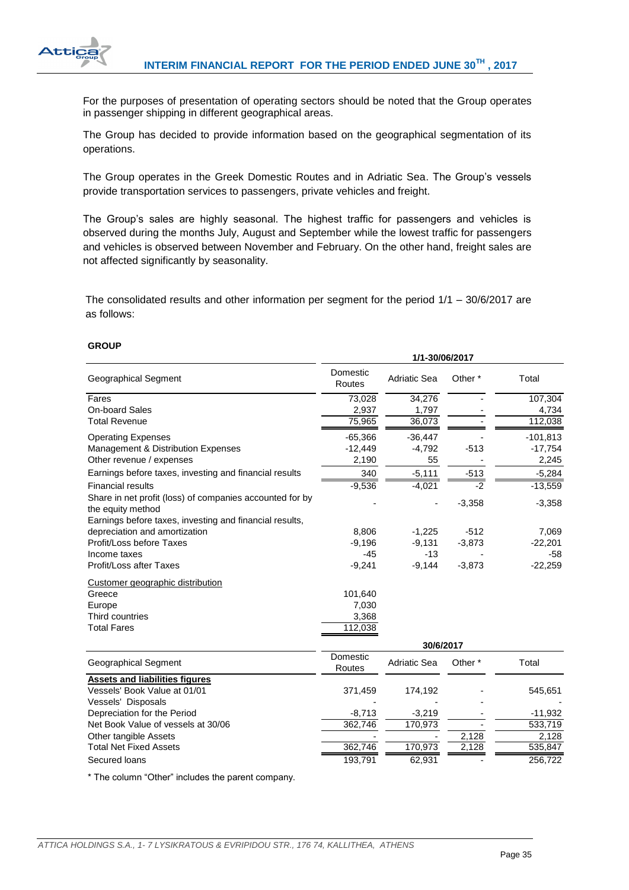

For the purposes of presentation of operating sectors should be noted that the Group operates in passenger shipping in different geographical areas.

The Group has decided to provide information based on the geographical segmentation of its operations.

The Group operates in the Greek Domestic Routes and in Adriatic Sea. The Group's vessels provide transportation services to passengers, private vehicles and freight.

The Group's sales are highly seasonal. The highest traffic for passengers and vehicles is observed during the months July, August and September while the lowest traffic for passengers and vehicles is observed between November and February. On the other hand, freight sales are not affected significantly by seasonality.

The consolidated results and other information per segment for the period 1/1 – 30/6/2017 are as follows:

**1/1-30/06/2017**

### **GROUP**

|                                                                               | 17 1-99799749 17   |                     |                    |            |
|-------------------------------------------------------------------------------|--------------------|---------------------|--------------------|------------|
| Geographical Segment                                                          | Domestic<br>Routes | <b>Adriatic Sea</b> | Other <sup>*</sup> | Total      |
| Fares                                                                         | 73,028             | 34,276              |                    | 107,304    |
| <b>On-board Sales</b>                                                         | 2,937              | 1,797               |                    | 4,734      |
| <b>Total Revenue</b>                                                          | 75,965             | 36,073              |                    | 112,038    |
| <b>Operating Expenses</b>                                                     | $-65,366$          | $-36,447$           |                    | $-101,813$ |
| Management & Distribution Expenses                                            | $-12,449$          | $-4,792$            | $-513$             | $-17,754$  |
| Other revenue / expenses                                                      | 2,190              | 55                  |                    | 2,245      |
| Earnings before taxes, investing and financial results                        | 340                | $-5,111$            | $-513$             | $-5,284$   |
| <b>Financial results</b>                                                      | $-9,536$           | $-4,021$            | $-2$               | $-13,559$  |
| Share in net profit (loss) of companies accounted for by<br>the equity method |                    |                     | $-3,358$           | $-3,358$   |
| Earnings before taxes, investing and financial results,                       |                    |                     |                    |            |
| depreciation and amortization                                                 | 8,806              | $-1,225$            | $-512$             | 7,069      |
| Profit/Loss before Taxes                                                      | $-9,196$           | $-9,131$            | $-3,873$           | $-22,201$  |
| Income taxes                                                                  | $-45$              | $-13$               |                    | $-58$      |
| <b>Profit/Loss after Taxes</b>                                                | $-9,241$           | $-9,144$            | $-3,873$           | $-22,259$  |
| Customer geographic distribution                                              |                    |                     |                    |            |
| Greece                                                                        | 101,640            |                     |                    |            |
| Europe                                                                        | 7,030              |                     |                    |            |
| Third countries                                                               | 3,368              |                     |                    |            |
| <b>Total Fares</b>                                                            | 112,038            |                     |                    |            |
|                                                                               |                    | 30/6/2017           |                    |            |
| Geographical Segment                                                          | Domestic<br>Routes | Adriatic Sea        | Other <sup>*</sup> | Total      |
| <b>Assets and liabilities figures</b>                                         |                    |                     |                    |            |
| Vessels' Book Value at 01/01                                                  | 371,459            | 174,192             |                    | 545,651    |
| Vessels' Disposals                                                            |                    |                     |                    |            |
| Depreciation for the Period                                                   | $-8,713$           | $-3,219$            |                    | $-11,932$  |
| Net Book Value of vessels at 30/06                                            | 362,746            | 170,973             |                    | 533,719    |
| Other tangible Assets                                                         |                    |                     | 2,128              | 2,128      |
| <b>Total Net Fixed Assets</b>                                                 | 362,746            | 170,973             | 2,128              | 535,847    |
| Secured loans                                                                 | 193,791            | 62,931              |                    | 256,722    |
|                                                                               |                    |                     |                    |            |

\* The column "Other" includes the parent company.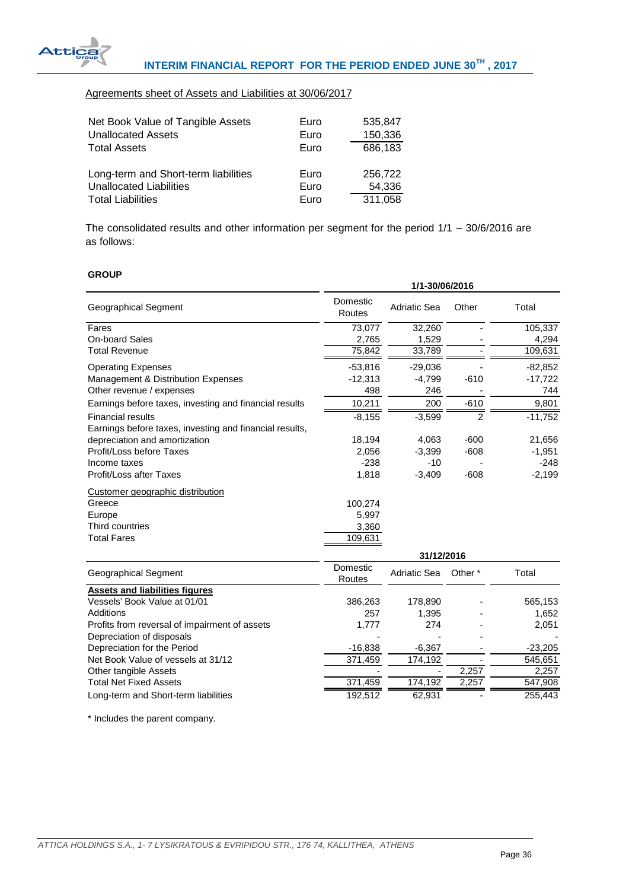

# Agreements sheet of Assets and Liabilities at 30/06/2017

| Net Book Value of Tangible Assets<br><b>Unallocated Assets</b> | Euro<br>Euro | 535,847<br>150,336 |
|----------------------------------------------------------------|--------------|--------------------|
| <b>Total Assets</b>                                            | Euro         | 686,183            |
| Long-term and Short-term liabilities                           | Euro         | 256.722            |
| <b>Unallocated Liabilities</b>                                 | Euro         | 54,336             |
| <b>Total Liabilities</b>                                       | Euro         | 311,058            |

The consolidated results and other information per segment for the period 1/1 – 30/6/2016 are as follows:

#### **GROUP**

|                                                         |                    | 1/1-30/06/2016      |                    |           |
|---------------------------------------------------------|--------------------|---------------------|--------------------|-----------|
| Geographical Segment                                    | Domestic<br>Routes | <b>Adriatic Sea</b> | Other              | Total     |
| Fares                                                   | 73,077             | 32,260              |                    | 105,337   |
| <b>On-board Sales</b>                                   | 2,765              | 1,529               |                    | 4,294     |
| <b>Total Revenue</b>                                    | 75,842             | 33,789              |                    | 109,631   |
| <b>Operating Expenses</b>                               | $-53,816$          | $-29,036$           |                    | $-82,852$ |
| Management & Distribution Expenses                      | $-12,313$          | $-4,799$            | $-610$             | $-17,722$ |
| Other revenue / expenses                                | 498                | 246                 |                    | 744       |
| Earnings before taxes, investing and financial results  | 10,211             | 200                 | $-610$             | 9,801     |
| <b>Financial results</b>                                | $-8,155$           | $-3,599$            | 2                  | $-11,752$ |
| Earnings before taxes, investing and financial results, |                    |                     |                    |           |
| depreciation and amortization                           | 18,194             | 4,063               | $-600$             | 21,656    |
| Profit/Loss before Taxes                                | 2.056              | $-3,399$            | $-608$             | $-1,951$  |
| Income taxes                                            | $-238$             | $-10$               |                    | $-248$    |
| <b>Profit/Loss after Taxes</b>                          | 1,818              | $-3,409$            | $-608$             | $-2,199$  |
| Customer geographic distribution                        |                    |                     |                    |           |
| Greece                                                  | 100,274            |                     |                    |           |
| Europe                                                  | 5,997              |                     |                    |           |
| Third countries                                         | 3,360              |                     |                    |           |
| <b>Total Fares</b>                                      | 109,631            |                     |                    |           |
|                                                         |                    | 31/12/2016          |                    |           |
| <b>Geographical Segment</b>                             | Domestic<br>Routes | <b>Adriatic Sea</b> | Other <sup>*</sup> | Total     |
| <b>Assets and liabilities figures</b>                   |                    |                     |                    |           |
| Vessels' Book Value at 01/01                            | 386,263            | 178,890             |                    | 565,153   |

| Vessels' Book Value at 01/01                  | 386.263   | 178.890 |       | 565.153   |
|-----------------------------------------------|-----------|---------|-------|-----------|
| Additions                                     | 257       | 1.395   |       | 1.652     |
| Profits from reversal of impairment of assets | 1.777     | 274     |       | 2.051     |
| Depreciation of disposals                     |           |         |       |           |
| Depreciation for the Period                   | $-16,838$ | -6.367  |       | $-23,205$ |
| Net Book Value of vessels at 31/12            | 371.459   | 174.192 |       | 545,651   |
| Other tangible Assets                         |           |         | 2.257 | 2,257     |
| <b>Total Net Fixed Assets</b>                 | 371.459   | 174.192 | 2.257 | 547,908   |
| Long-term and Short-term liabilities          | 192.512   | 62.931  |       | 255.443   |

\* Includes the parent company.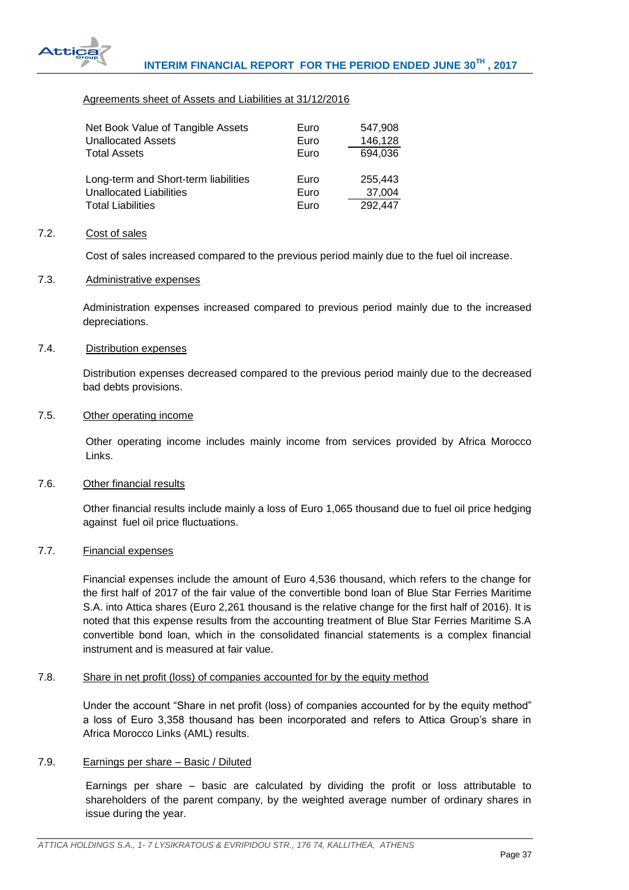

# Agreements sheet of Assets and Liabilities at 31/12/2016

| Net Book Value of Tangible Assets    | Euro | 547,908 |
|--------------------------------------|------|---------|
| <b>Unallocated Assets</b>            | Euro | 146,128 |
| <b>Total Assets</b>                  | Euro | 694,036 |
|                                      |      |         |
| Long-term and Short-term liabilities | Euro | 255.443 |
| <b>Unallocated Liabilities</b>       | Euro | 37,004  |
| <b>Total Liabilities</b>             | Euro | 292,447 |

#### <span id="page-37-0"></span>7.2. Cost of sales

Cost of sales increased compared to the previous period mainly due to the fuel oil increase.

### <span id="page-37-1"></span>7.3. Administrative expenses

Administration expenses increased compared to previous period mainly due to the increased depreciations.

#### <span id="page-37-2"></span>7.4. Distribution expenses

Distribution expenses decreased compared to the previous period mainly due to the decreased bad debts provisions.

#### <span id="page-37-3"></span>7.5. Other operating income

Other operating income includes mainly income from services provided by Africa Morocco Links.

#### <span id="page-37-4"></span>7.6. Other financial results

Other financial results include mainly a loss of Euro 1,065 thousand due to fuel oil price hedging against fuel oil price fluctuations.

#### <span id="page-37-5"></span>7.7. Financial expenses

Financial expenses include the amount of Euro 4,536 thousand, which refers to the change for the first half of 2017 of the fair value of the convertible bond loan of Blue Star Ferries Maritime S.A. into Attica shares (Euro 2,261 thousand is the relative change for the first half of 2016). It is noted that this expense results from the accounting treatment of Blue Star Ferries Maritime S.A convertible bond loan, which in the consolidated financial statements is a complex financial instrument and is measured at fair value.

# <span id="page-37-6"></span>7.8. Share in net profit (loss) of companies accounted for by the equity method

Under the account "Share in net profit (loss) of companies accounted for by the equity method" a loss of Euro 3,358 thousand has been incorporated and refers to Attica Group's share in Africa Morocco Links (AML) results.

#### <span id="page-37-7"></span>7.9. Earnings per share – Basic / Diluted

Earnings per share – basic are calculated by dividing the profit or loss attributable to shareholders of the parent company, by the weighted average number of ordinary shares in issue during the year.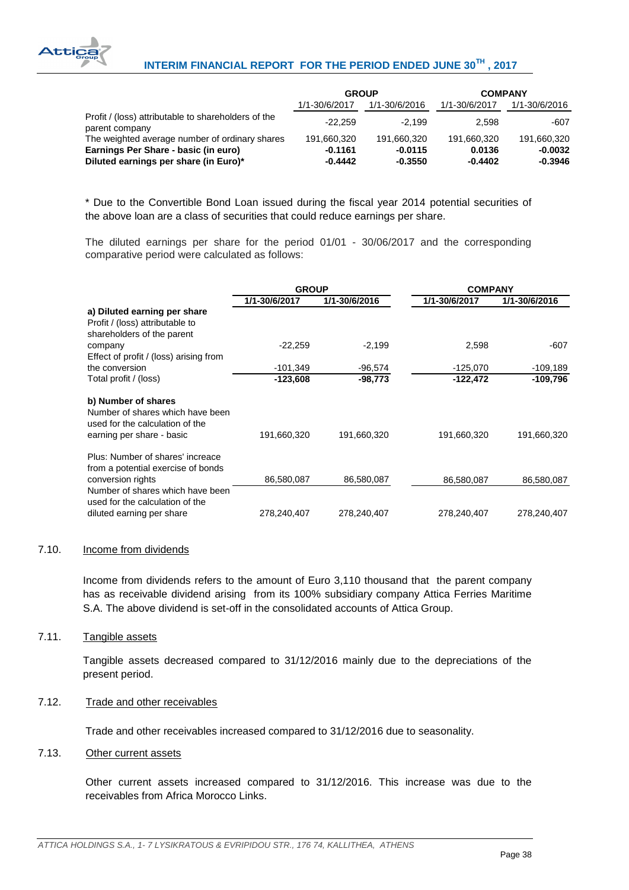

# **INTERIM FINANCIAL REPORT FOR THE PERIOD ENDED JUNE 30TH , 2017**

|                                                                       | <b>GROUP</b>  |               |               | <b>COMPANY</b> |  |
|-----------------------------------------------------------------------|---------------|---------------|---------------|----------------|--|
|                                                                       | 1/1-30/6/2017 | 1/1-30/6/2016 | 1/1-30/6/2017 | 1/1-30/6/2016  |  |
| Profit / (loss) attributable to shareholders of the<br>parent company | $-22.259$     | $-2.199$      | 2.598         | -607           |  |
| The weighted average number of ordinary shares                        | 191.660.320   | 191.660.320   | 191.660.320   | 191,660,320    |  |
| Earnings Per Share - basic (in euro)                                  | $-0.1161$     | $-0.0115$     | 0.0136        | $-0.0032$      |  |
| Diluted earnings per share (in Euro)*                                 | $-0.4442$     | $-0.3550$     | $-0.4402$     | $-0.3946$      |  |

\* Due to the Convertible Bond Loan issued during the fiscal year 2014 potential securities of the above loan are a class of securities that could reduce earnings per share.

The diluted earnings per share for the period 01/01 - 30/06/2017 and the corresponding comparative period were calculated as follows:

|                                                                                                                         | <b>GROUP</b>  |               | <b>COMPANY</b> |               |  |
|-------------------------------------------------------------------------------------------------------------------------|---------------|---------------|----------------|---------------|--|
|                                                                                                                         | 1/1-30/6/2017 | 1/1-30/6/2016 | 1/1-30/6/2017  | 1/1-30/6/2016 |  |
| a) Diluted earning per share<br>Profit / (loss) attributable to<br>shareholders of the parent                           |               |               |                |               |  |
| company                                                                                                                 | $-22,259$     | $-2,199$      | 2,598          | -607          |  |
| Effect of profit / (loss) arising from                                                                                  |               |               |                |               |  |
| the conversion                                                                                                          | $-101,349$    | $-96,574$     | $-125,070$     | $-109,189$    |  |
| Total profit / (loss)                                                                                                   | $-123,608$    | $-98,773$     | -122,472       | -109,796      |  |
| b) Number of shares<br>Number of shares which have been<br>used for the calculation of the<br>earning per share - basic | 191,660,320   | 191,660,320   | 191,660,320    | 191,660,320   |  |
| Plus: Number of shares' increace<br>from a potential exercise of bonds<br>conversion rights                             | 86,580,087    | 86,580,087    | 86,580,087     | 86,580,087    |  |
| Number of shares which have been<br>used for the calculation of the<br>diluted earning per share                        | 278,240,407   | 278,240,407   | 278,240,407    | 278,240,407   |  |

#### <span id="page-38-0"></span>7.10. Income from dividends

Income from dividends refers to the amount of Euro 3,110 thousand that the parent company has as receivable dividend arising from its 100% subsidiary company Attica Ferries Maritime S.A. The above dividend is set-off in the consolidated accounts of Attica Group.

# <span id="page-38-1"></span>7.11. Tangible assets

Tangible assets decreased compared to 31/12/2016 mainly due to the depreciations of the present period.

# <span id="page-38-2"></span>7.12. Trade and other receivables

Trade and other receivables increased compared to 31/12/2016 due to seasonality.

#### <span id="page-38-3"></span>7.13. Other current assets

Other current assets increased compared to 31/12/2016. This increase was due to the receivables from Africa Morocco Links.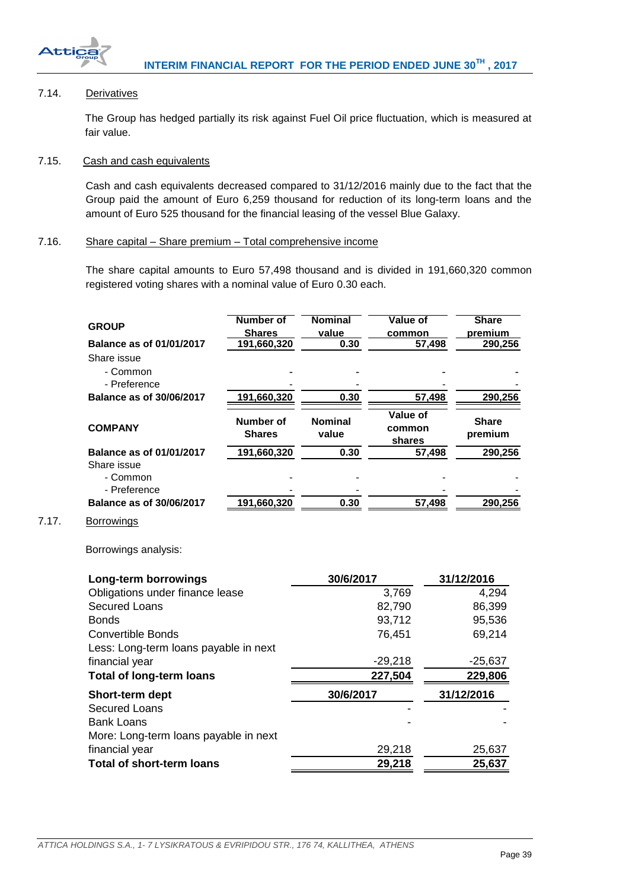

<span id="page-39-3"></span> $7.17.$ 

Bank Loans

# <span id="page-39-0"></span>7.14. Derivatives

The Group has hedged partially its risk against Fuel Oil price fluctuation, which is measured at fair value.

#### <span id="page-39-1"></span>7.15. Cash and cash equivalents

Cash and cash equivalents decreased compared to 31/12/2016 mainly due to the fact that the Group paid the amount of Euro 6,259 thousand for reduction of its long-term loans and the amount of Euro 525 thousand for the financial leasing of the vessel Blue Galaxy.

### <span id="page-39-2"></span>7.16. Share capital – Share premium – Total comprehensive income

The share capital amounts to Euro 57,498 thousand and is divided in 191,660,320 common registered voting shares with a nominal value of Euro 0.30 each.

| <b>GROUP</b>                          | <b>Number of</b> | <b>Nominal</b> | <b>Value of</b> |        | <b>Share</b> |
|---------------------------------------|------------------|----------------|-----------------|--------|--------------|
|                                       | <b>Shares</b>    | value          | common          |        | premium      |
| Balance as of 01/01/2017              | 191,660,320      | 0.30           |                 | 57,498 | 290,256      |
| Share issue                           |                  |                |                 |        |              |
| - Common                              |                  |                |                 |        |              |
| - Preference                          |                  |                |                 |        |              |
| <b>Balance as of 30/06/2017</b>       | 191,660,320      | 0.30           |                 | 57,498 | 290,256      |
|                                       |                  |                | Value of        |        |              |
| <b>COMPANY</b>                        | <b>Number of</b> | <b>Nominal</b> | common          |        | <b>Share</b> |
|                                       | <b>Shares</b>    | value          | shares          |        | premium      |
| Balance as of 01/01/2017              | 191,660,320      | 0.30           |                 | 57,498 | 290,256      |
| Share issue                           |                  |                |                 |        |              |
| - Common                              |                  |                |                 |        |              |
| - Preference                          |                  |                |                 |        |              |
| <b>Balance as of 30/06/2017</b>       | 191,660,320      | 0.30           |                 | 57,498 | 290,256      |
| <b>Borrowings</b>                     |                  |                |                 |        |              |
| Borrowings analysis:                  |                  |                |                 |        |              |
| Long-term borrowings                  |                  | 30/6/2017      |                 |        | 31/12/2016   |
| Obligations under finance lease       |                  |                | 3,769           |        | 4,294        |
| <b>Secured Loans</b>                  |                  |                | 82,790          |        | 86,399       |
| <b>Bonds</b>                          |                  |                | 93,712          |        | 95,536       |
| <b>Convertible Bonds</b>              |                  |                | 76,451          |        | 69,214       |
| Less: Long-term loans payable in next |                  |                |                 |        |              |
| financial year                        |                  |                | $-29,218$       |        | $-25,637$    |
| <b>Total of long-term loans</b>       |                  |                | 227,504         |        | 229,806      |
| Short-term dept                       |                  | 30/6/2017      |                 |        | 31/12/2016   |
| <b>Secured Loans</b>                  |                  |                |                 |        |              |

financial year 29,218 25,637 **Total of short-term loans 29,218 25,637**

More: Long-term loans payable in next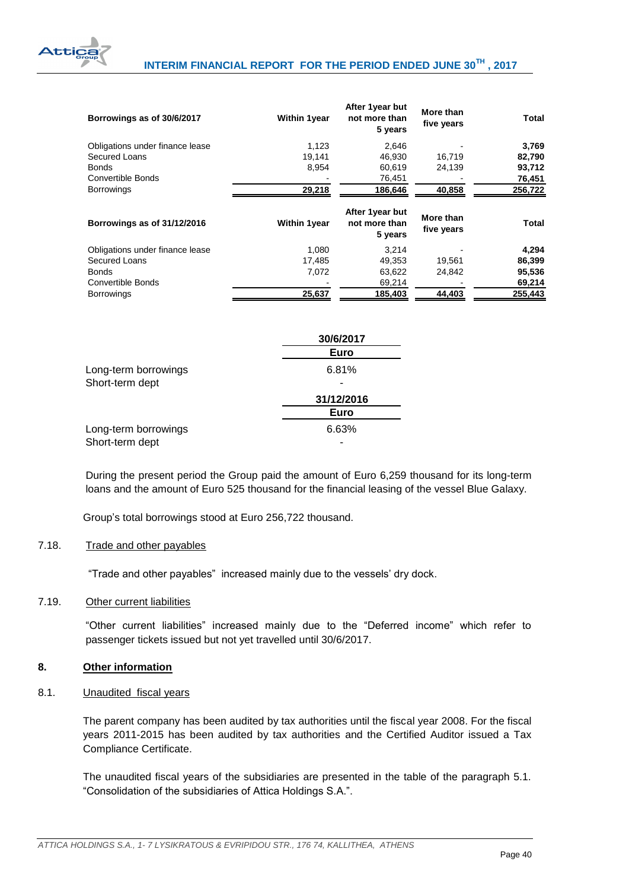

| Borrowings as of 30/6/2017      | <b>Within 1year</b> | After 1year but<br>not more than<br>5 years | More than<br>five years | Total        |  |
|---------------------------------|---------------------|---------------------------------------------|-------------------------|--------------|--|
| Obligations under finance lease | 1,123               | 2,646                                       |                         | 3,769        |  |
| Secured Loans                   | 19.141              | 46.930                                      | 16.719                  | 82,790       |  |
| <b>Bonds</b>                    | 8,954               | 60.619                                      | 24,139                  | 93,712       |  |
| Convertible Bonds               |                     | 76,451                                      |                         | 76,451       |  |
| <b>Borrowings</b>               | 29,218              | 186,646                                     | 40,858                  | 256,722      |  |
| Borrowings as of 31/12/2016     | <b>Within 1year</b> | After 1year but<br>not more than<br>5 years | More than<br>five years | <b>Total</b> |  |
| Obligations under finance lease | 1.080               | 3.214                                       |                         | 4,294        |  |
| Secured Loans                   | 17,485              | 49.353                                      | 19,561                  | 86,399       |  |
| <b>Bonds</b>                    | 7.072               | 63.622                                      | 24.842                  | 95,536       |  |

Convertible Bonds **69,214** - 69,214 69,214 69,214 Borrowings **25,637 185,403 44,403 255,443**

|                      | 30/6/2017   |
|----------------------|-------------|
|                      | <b>Euro</b> |
| Long-term borrowings | 6.81%       |
| Short-term dept      |             |
|                      | 31/12/2016  |
|                      | Euro        |
| Long-term borrowings | 6.63%       |
| Short-term dept      |             |

During the present period the Group paid the amount of Euro 6,259 thousand for its long-term loans and the amount of Euro 525 thousand for the financial leasing of the vessel Blue Galaxy.

Group's total borrowings stood at Euro 256,722 thousand.

#### <span id="page-40-0"></span>7.18. Trade and other payables

"Trade and other payables" increased mainly due to the vessels' dry dock.

#### <span id="page-40-1"></span>7.19. Other current liabilities

"Other current liabilities" increased mainly due to the "Deferred income" which refer to passenger tickets issued but not yet travelled until 30/6/2017.

#### <span id="page-40-2"></span>**8. Other information**

<span id="page-40-3"></span>8.1. Unaudited fiscal years

The parent company has been audited by tax authorities until the fiscal year 2008. For the fiscal years 2011-2015 has been audited by tax authorities and the Certified Auditor issued a Tax Compliance Certificate.

The unaudited fiscal years of the subsidiaries are presented in the table of the paragraph 5.1. "Consolidation of the subsidiaries of Attica Holdings S.A.".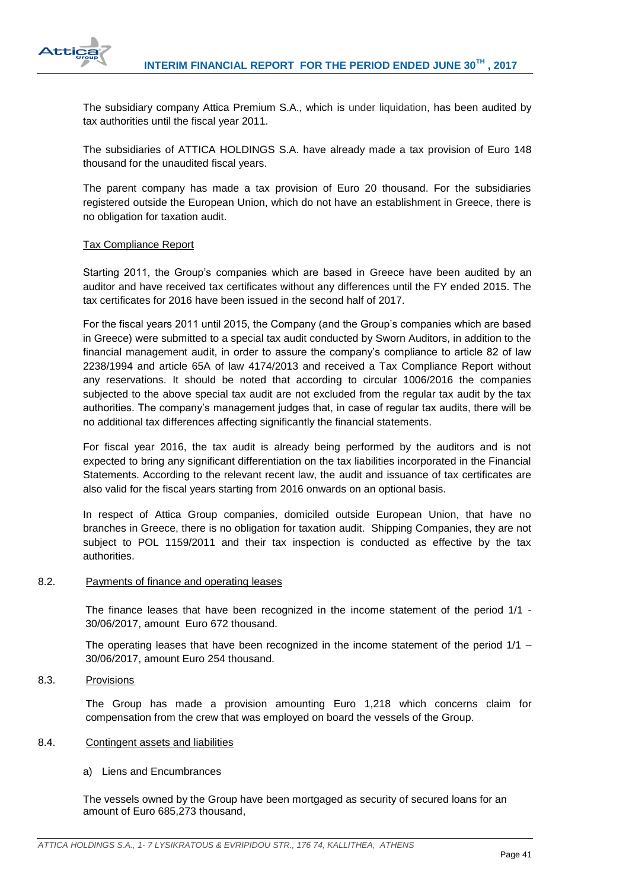

The subsidiary company Attica Premium S.A., which is under liquidation, has been audited by tax authorities until the fiscal year 2011.

The subsidiaries of ATTICA HOLDINGS S.A. have already made a tax provision of Euro 148 thousand for the unaudited fiscal years.

The parent company has made a tax provision of Euro 20 thousand. For the subsidiaries registered outside the European Union, which do not have an establishment in Greece, there is no obligation for taxation audit.

### Tax Compliance Report

Starting 2011, the Group's companies which are based in Greece have been audited by an auditor and have received tax certificates without any differences until the FY ended 2015. The tax certificates for 2016 have been issued in the second half of 2017.

For the fiscal years 2011 until 2015, the Company (and the Group's companies which are based in Greece) were submitted to a special tax audit conducted by Sworn Auditors, in addition to the financial management audit, in order to assure the company's compliance to article 82 of law 2238/1994 and article 65A of law 4174/2013 and received a Tax Compliance Report without any reservations. It should be noted that according to circular 1006/2016 the companies subjected to the above special tax audit are not excluded from the regular tax audit by the tax authorities. The company's management judges that, in case of regular tax audits, there will be no additional tax differences affecting significantly the financial statements.

For fiscal year 2016, the tax audit is already being performed by the auditors and is not expected to bring any significant differentiation on the tax liabilities incorporated in the Financial Statements. According to the relevant recent law, the audit and issuance of tax certificates are also valid for the fiscal years starting from 2016 onwards on an optional basis.

In respect of Attica Group companies, domiciled outside European Union, that have no branches in Greece, there is no obligation for taxation audit. Shipping Companies, they are not subject to POL 1159/2011 and their tax inspection is conducted as effective by the tax authorities.

#### <span id="page-41-0"></span>8.2. Payments of finance and operating leases

The finance leases that have been recognized in the income statement of the period 1/1 - 30/06/2017, amount Euro 672 thousand.

The operating leases that have been recognized in the income statement of the period  $1/1 -$ 30/06/2017, amount Euro 254 thousand.

<span id="page-41-1"></span>8.3. Provisions

The Group has made a provision amounting Euro 1,218 which concerns claim for compensation from the crew that was employed on board the vessels of the Group.

#### <span id="page-41-2"></span>8.4. Contingent assets and liabilities

# a) Liens and Encumbrances

The vessels owned by the Group have been mortgaged as security of secured loans for an amount of Euro 685,273 thousand,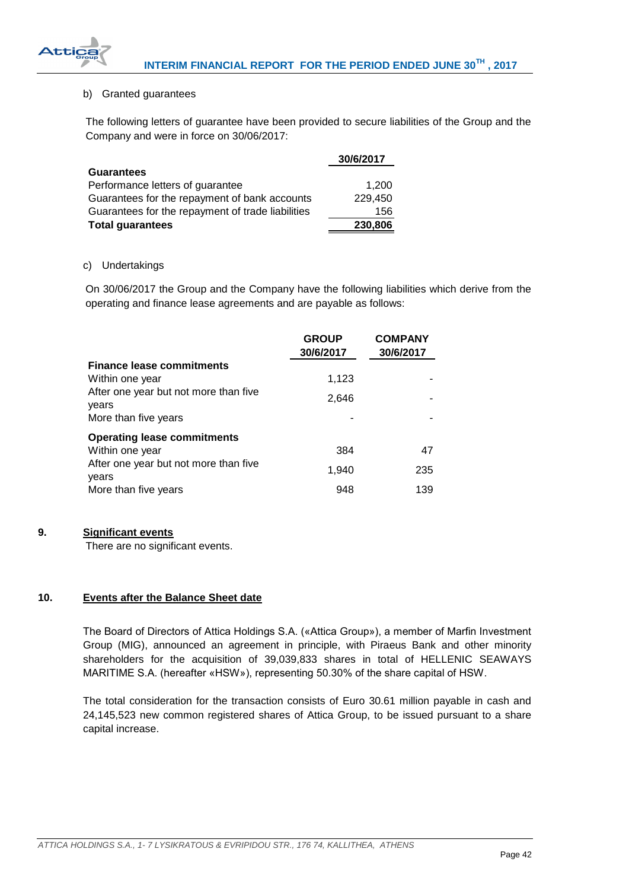

# b) Granted guarantees

 $\Delta$ ttic

The following letters of guarantee have been provided to secure liabilities of the Group and the Company and were in force on 30/06/2017:

|                                                   | 30/6/2017 |
|---------------------------------------------------|-----------|
| <b>Guarantees</b>                                 |           |
| Performance letters of guarantee                  | 1.200     |
| Guarantees for the repayment of bank accounts     | 229,450   |
| Guarantees for the repayment of trade liabilities | 156       |
| <b>Total guarantees</b>                           | 230,806   |

### c) Undertakings

On 30/06/2017 the Group and the Company have the following liabilities which derive from the operating and finance lease agreements and are payable as follows:

|                                                | <b>GROUP</b><br>30/6/2017 | <b>COMPANY</b><br>30/6/2017 |
|------------------------------------------------|---------------------------|-----------------------------|
| <b>Finance lease commitments</b>               |                           |                             |
| Within one year                                | 1,123                     |                             |
| After one year but not more than five<br>years | 2,646                     |                             |
| More than five years                           |                           |                             |
| <b>Operating lease commitments</b>             |                           |                             |
| Within one year                                | 384                       | 47                          |
| After one year but not more than five<br>years | 1,940                     | 235                         |
| More than five years                           | 948                       | 139                         |

# <span id="page-42-0"></span>**9. Significant events**

There are no significant events.

# <span id="page-42-1"></span>**10. Events after the Balance Sheet date**

The Board of Directors of Attica Holdings S.A. («Attica Group»), a member of Marfin Investment Group (MIG), announced an agreement in principle, with Piraeus Bank and other minority shareholders for the acquisition of 39,039,833 shares in total of HELLENIC SEAWAYS MARITIME S.A. (hereafter «HSW»), representing 50.30% of the share capital of HSW.

The total consideration for the transaction consists of Euro 30.61 million payable in cash and 24,145,523 new common registered shares of Attica Group, to be issued pursuant to a share capital increase.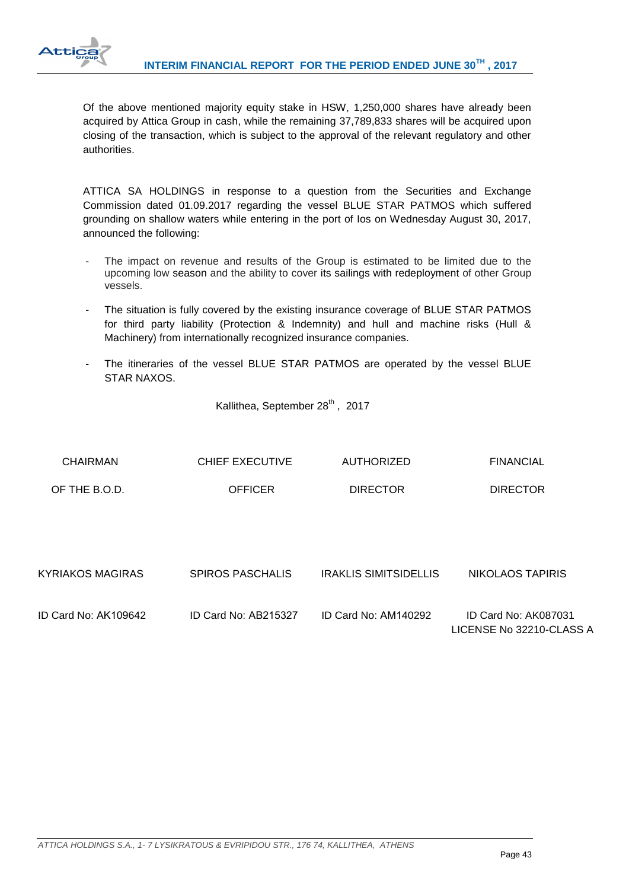

Of the above mentioned majority equity stake in HSW, 1,250,000 shares have already been acquired by Attica Group in cash, while the remaining 37,789,833 shares will be acquired upon closing of the transaction, which is subject to the approval of the relevant regulatory and other authorities.

ATTICA SA HOLDINGS in response to a question from the Securities and Exchange Commission dated 01.09.2017 regarding the vessel BLUE STAR PATMOS which suffered grounding on shallow waters while entering in the port of Ios on Wednesday August 30, 2017, announced the following:

- The impact on revenue and results of the Group is estimated to be limited due to the upcoming low season and the ability to cover its sailings with redeployment of other Group vessels.
- The situation is fully covered by the existing insurance coverage of BLUE STAR PATMOS for third party liability (Protection & Indemnity) and hull and machine risks (Hull & Machinery) from internationally recognized insurance companies.
- The itineraries of the vessel BLUE STAR PATMOS are operated by the vessel BLUE STAR NAXOS.

Kallithea, September 28<sup>th</sup>, 2017

| <b>CHAIRMAN</b>         | <b>CHIEF EXECUTIVE</b>  | <b>AUTHORIZED</b>     | <b>FINANCIAL</b>                                 |
|-------------------------|-------------------------|-----------------------|--------------------------------------------------|
| OF THE B.O.D.           | <b>OFFICER</b>          | <b>DIRECTOR</b>       | <b>DIRECTOR</b>                                  |
|                         |                         |                       |                                                  |
| <b>KYRIAKOS MAGIRAS</b> | <b>SPIROS PASCHALIS</b> | IRAKLIS SIMITSIDELLIS | NIKOLAOS TAPIRIS                                 |
| ID Card No: AK109642    | ID Card No: AB215327    | ID Card No: AM140292  | ID Card No: AK087031<br>LICENSE No 32210-CLASS A |